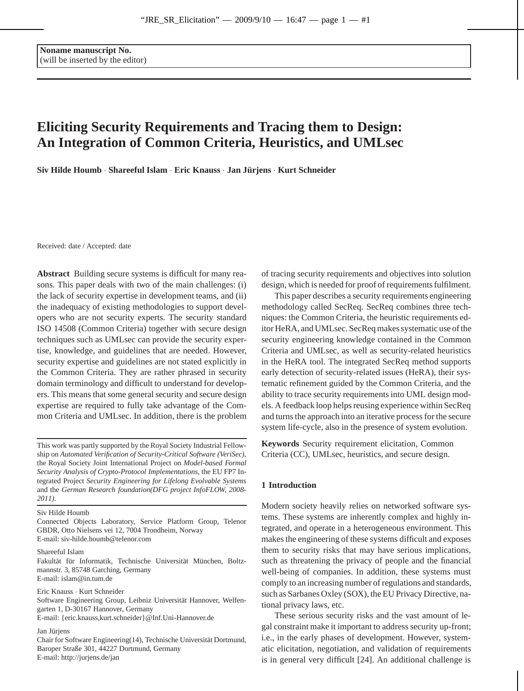**Noname manuscript No.** (will be inserted by the editor)

# **Eliciting Security Requirements and Tracing them to Design: An Integration of Common Criteria, Heuristics, and UMLsec**

**Siv Hilde Houmb** · **Shareeful Islam** · **Eric Knauss** · **Jan Jürjens** · **Kurt Schneider**

Received: date / Accepted: date

**Abstract** Building secure systems is difficult for many reasons. This paper deals with two of the main challenges: (i) the lack of security expertise in development teams, and (ii) the inadequacy of existing methodologies to support developers who are not security experts. The security standard ISO 14508 (Common Criteria) together with secure design techniques such as UMLsec can provide the security expertise, knowledge, and guidelines that are needed. However, security expertise and guidelines are not stated explicitly in the Common Criteria. They are rather phrased in security domain terminology and difficult to understand for developers. This means that some general security and secure design expertise are required to fully take advantage of the Common Criteria and UMLsec. In addition, there is the problem

This work was partly supported by the Royal Society Industrial Fellowship on *Automated Verification of Security-Critical Software (VeriSec)*, the Royal Society Joint International Project on *Model-based Formal Security Analysis of Crypto-Protocol Implementations*, the EU FP7 Integrated Project *Security Engineering for Lifelong Evolvable Systems* and the *German Research foundation(DFG project InfoFLOW, 2008- 2011)*.

Siv Hilde Houmb

Connected Objects Laboratory, Service Platform Group, Telenor GBDR, Otto Nielsens vei 12, 7004 Trondheim, Norway E-mail: siv-hilde.houmb@telenor.com

Shareeful Islam

Fakultät für Informatik, Technische Universität München, Boltzmannstr. 3, 85748 Garching, Germany E-mail: islam@in.tum.de

Eric Knauss · Kurt Schneider

Software Engineering Group, Leibniz Universität Hannover, Welfengarten 1, D-30167 Hannover, Germany E-mail: {eric.knauss,kurt.schneider}@Inf.Uni-Hannover.de

#### Jan Jürjens

Chair for Software Engineering(14), Technische Universität Dortmund, Baroper Straße 301, 44227 Dortmund, Germany E-mail: http://jurjens.de/jan

of tracing security requirements and objectives into solution design, which is needed for proof of requirements fulfilment.

This paper describes a security requirements engineering methodology called SecReq. SecReq combines three techniques: the Common Criteria, the heuristic requirements editor HeRA, and UMLsec. SecReq makes systematic use of the security engineering knowledge contained in the Common Criteria and UMLsec, as well as security-related heuristics in the HeRA tool. The integrated SecReq method supports early detection of security-related issues (HeRA), their systematic refinement guided by the Common Criteria, and the ability to trace security requirements into UML design models. A feedback loop helps reusing experience within SecReq and turns the approach into an iterative process for the secure system life-cycle, also in the presence of system evolution.

**Keywords** Security requirement elicitation, Common Criteria (CC), UMLsec, heuristics, and secure design.

### **1 Introduction**

Modern society heavily relies on networked software systems. These systems are inherently complex and highly integrated, and operate in a heterogeneous environment. This makes the engineering of these systems difficult and exposes them to security risks that may have serious implications, such as threatening the privacy of people and the financial well-being of companies. In addition, these systems must comply to an increasing number of regulations and standards, such as Sarbanes Oxley (SOX), the EU Privacy Directive, national privacy laws, etc.

These serious security risks and the vast amount of legal constraint make it important to address security up-front; i.e., in the early phases of development. However, systematic elicitation, negotiation, and validation of requirements is in general very difficult [24]. An additional challenge is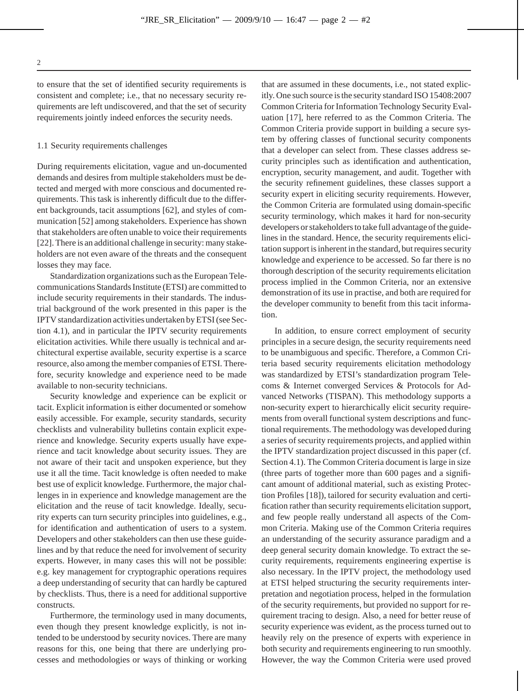2

to ensure that the set of identified security requirements is consistent and complete; i.e., that no necessary security requirements are left undiscovered, and that the set of security requirements jointly indeed enforces the security needs.

#### 1.1 Security requirements challenges

During requirements elicitation, vague and un-documented demands and desires from multiple stakeholders must be detected and merged with more conscious and documented requirements. This task is inherently difficult due to the different backgrounds, tacit assumptions [62], and styles of communication [52] among stakeholders. Experience has shown that stakeholders are often unable to voice their requirements [22]. There is an additional challenge in security: many stakeholders are not even aware of the threats and the consequent losses they may face.

Standardization organizations such as the European Telecommunications Standards Institute (ETSI) are committed to include security requirements in their standards. The industrial background of the work presented in this paper is the IPTV standardization activities undertaken by ETSI (see Section 4.1), and in particular the IPTV security requirements elicitation activities. While there usually is technical and architectural expertise available, security expertise is a scarce resource, also among the member companies of ETSI. Therefore, security knowledge and experience need to be made available to non-security technicians.

Security knowledge and experience can be explicit or tacit. Explicit information is either documented or somehow easily accessible. For example, security standards, security checklists and vulnerability bulletins contain explicit experience and knowledge. Security experts usually have experience and tacit knowledge about security issues. They are not aware of their tacit and unspoken experience, but they use it all the time. Tacit knowledge is often needed to make best use of explicit knowledge. Furthermore, the major challenges in in experience and knowledge management are the elicitation and the reuse of tacit knowledge. Ideally, security experts can turn security principles into guidelines, e.g., for identification and authentication of users to a system. Developers and other stakeholders can then use these guidelines and by that reduce the need for involvement of security experts. However, in many cases this will not be possible: e.g. key management for cryptographic operations requires a deep understanding of security that can hardly be captured by checklists. Thus, there is a need for additional supportive constructs.

Furthermore, the terminology used in many documents, even though they present knowledge explicitly, is not intended to be understood by security novices. There are many reasons for this, one being that there are underlying processes and methodologies or ways of thinking or working

that are assumed in these documents, i.e., not stated explicitly. One such source is the security standard ISO 15408:2007 Common Criteria for Information Technology Security Evaluation [17], here referred to as the Common Criteria. The Common Criteria provide support in building a secure system by offering classes of functional security components that a developer can select from. These classes address security principles such as identification and authentication, encryption, security management, and audit. Together with the security refinement guidelines, these classes support a security expert in eliciting security requirements. However, the Common Criteria are formulated using domain-specific security terminology, which makes it hard for non-security developers or stakeholders to take full advantage of the guidelines in the standard. Hence, the security requirements elicitation support is inherent in the standard, but requires security knowledge and experience to be accessed. So far there is no thorough description of the security requirements elicitation process implied in the Common Criteria, nor an extensive demonstration of its use in practise, and both are required for the developer community to benefit from this tacit information.

In addition, to ensure correct employment of security principles in a secure design, the security requirements need to be unambiguous and specific. Therefore, a Common Criteria based security requirements elicitation methodology was standardized by ETSI's standardization program Telecoms & Internet converged Services & Protocols for Advanced Networks (TISPAN). This methodology supports a non-security expert to hierarchically elicit security requirements from overall functional system descriptions and functional requirements. The methodology was developed during a series of security requirements projects, and applied within the IPTV standardization project discussed in this paper (cf. Section 4.1). The Common Criteria document is large in size (three parts of together more than 600 pages and a significant amount of additional material, such as existing Protection Profiles [18]), tailored for security evaluation and certification rather than security requirements elicitation support, and few people really understand all aspects of the Common Criteria. Making use of the Common Criteria requires an understanding of the security assurance paradigm and a deep general security domain knowledge. To extract the security requirements, requirements engineering expertise is also necessary. In the IPTV project, the methodology used at ETSI helped structuring the security requirements interpretation and negotiation process, helped in the formulation of the security requirements, but provided no support for requirement tracing to design. Also, a need for better reuse of security experience was evident, as the process turned out to heavily rely on the presence of experts with experience in both security and requirements engineering to run smoothly. However, the way the Common Criteria were used proved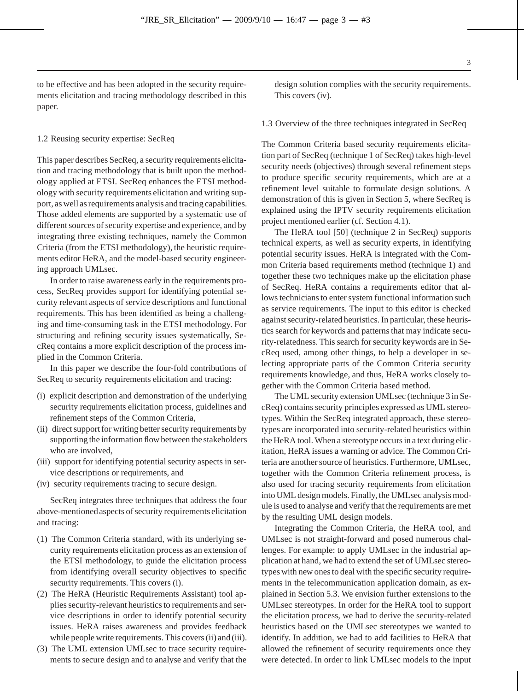to be effective and has been adopted in the security requirements elicitation and tracing methodology described in this paper.

### 1.2 Reusing security expertise: SecReq

This paper describes SecReq, a security requirements elicitation and tracing methodology that is built upon the methodology applied at ETSI. SecReq enhances the ETSI methodology with security requirements elicitation and writing support, as well as requirements analysis and tracing capabilities. Those added elements are supported by a systematic use of different sources of security expertise and experience, and by integrating three existing techniques, namely the Common Criteria (from the ETSI methodology), the heuristic requirements editor HeRA, and the model-based security engineering approach UMLsec.

In order to raise awareness early in the requirements process, SecReq provides support for identifying potential security relevant aspects of service descriptions and functional requirements. This has been identified as being a challenging and time-consuming task in the ETSI methodology. For structuring and refining security issues systematically, SecReq contains a more explicit description of the process implied in the Common Criteria.

In this paper we describe the four-fold contributions of SecReq to security requirements elicitation and tracing:

- (i) explicit description and demonstration of the underlying security requirements elicitation process, guidelines and refinement steps of the Common Criteria,
- (ii) direct support for writing better security requirements by supporting the information flow between the stakeholders who are involved,
- (iii) support for identifying potential security aspects in service descriptions or requirements, and
- (iv) security requirements tracing to secure design.

SecReq integrates three techniques that address the four above-mentionedaspects of security requirements elicitation and tracing:

- (1) The Common Criteria standard, with its underlying security requirements elicitation process as an extension of the ETSI methodology, to guide the elicitation process from identifying overall security objectives to specific security requirements. This covers (i).
- (2) The HeRA (Heuristic Requirements Assistant) tool applies security-relevant heuristics to requirements and service descriptions in order to identify potential security issues. HeRA raises awareness and provides feedback while people write requirements. This covers (ii) and (iii).
- (3) The UML extension UMLsec to trace security requirements to secure design and to analyse and verify that the

design solution complies with the security requirements. This covers (iv).

### 1.3 Overview of the three techniques integrated in SecReq

The Common Criteria based security requirements elicitation part of SecReq (technique 1 of SecReq) takes high-level security needs (objectives) through several refinement steps to produce specific security requirements, which are at a refinement level suitable to formulate design solutions. A demonstration of this is given in Section 5, where SecReq is explained using the IPTV security requirements elicitation project mentioned earlier (cf. Section 4.1).

The HeRA tool [50] (technique 2 in SecReq) supports technical experts, as well as security experts, in identifying potential security issues. HeRA is integrated with the Common Criteria based requirements method (technique 1) and together these two techniques make up the elicitation phase of SecReq. HeRA contains a requirements editor that allows technicians to enter system functional information such as service requirements. The input to this editor is checked against security-related heuristics. In particular, these heuristics search for keywords and patterns that may indicate security-relatedness. This search for security keywords are in SecReq used, among other things, to help a developer in selecting appropriate parts of the Common Criteria security requirements knowledge, and thus, HeRA works closely together with the Common Criteria based method.

The UML security extension UMLsec (technique 3 in SecReq) contains security principles expressed as UML stereotypes. Within the SecReq integrated approach, these stereotypes are incorporated into security-related heuristics within the HeRA tool. When a stereotype occurs in a text during elicitation, HeRA issues a warning or advice. The Common Criteria are another source of heuristics. Furthermore, UMLsec, together with the Common Criteria refinement process, is also used for tracing security requirements from elicitation into UML design models. Finally, the UMLsec analysis module is used to analyse and verify that the requirements are met by the resulting UML design models.

Integrating the Common Criteria, the HeRA tool, and UMLsec is not straight-forward and posed numerous challenges. For example: to apply UMLsec in the industrial application at hand, we had to extend the set of UMLsec stereotypes with new ones to deal with the specific security requirements in the telecommunication application domain, as explained in Section 5.3. We envision further extensions to the UMLsec stereotypes. In order for the HeRA tool to support the elicitation process, we had to derive the security-related heuristics based on the UMLsec stereotypes we wanted to identify. In addition, we had to add facilities to HeRA that allowed the refinement of security requirements once they were detected. In order to link UMLsec models to the input

3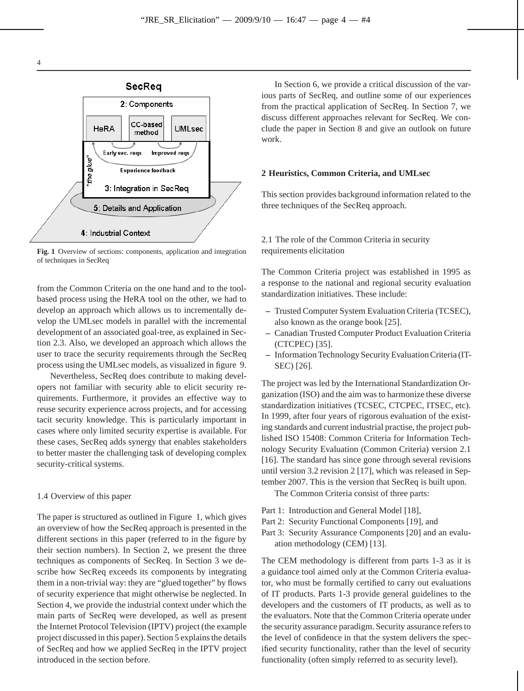

**Fig. 1** Overview of sections: components, application and integration of techniques in SecReq

from the Common Criteria on the one hand and to the toolbased process using the HeRA tool on the other, we had to develop an approach which allows us to incrementally develop the UMLsec models in parallel with the incremental development of an associated goal-tree, as explained in Section 2.3. Also, we developed an approach which allows the user to trace the security requirements through the SecReq process using the UMLsec models, as visualized in figure 9.

Nevertheless, SecReq does contribute to making developers not familiar with security able to elicit security requirements. Furthermore, it provides an effective way to reuse security experience across projects, and for accessing tacit security knowledge. This is particularly important in cases where only limited security expertise is available. For these cases, SecReq adds synergy that enables stakeholders to better master the challenging task of developing complex security-critical systems.

### 1.4 Overview of this paper

The paper is structured as outlined in Figure 1, which gives an overview of how the SecReq approach is presented in the different sections in this paper (referred to in the figure by their section numbers). In Section 2, we present the three techniques as components of SecReq. In Section 3 we describe how SecReq exceeds its components by integrating them in a non-trivial way: they are "glued together" by flows of security experience that might otherwise be neglected. In Section 4, we provide the industrial context under which the main parts of SecReq were developed, as well as present the Internet Protocol Television (IPTV) project (the example project discussed in this paper). Section 5 explains the details of SecReq and how we applied SecReq in the IPTV project introduced in the section before.

In Section 6, we provide a critical discussion of the various parts of SecReq, and outline some of our experiences from the practical application of SecReq. In Section 7, we discuss different approaches relevant for SecReq. We conclude the paper in Section 8 and give an outlook on future work.

### **2 Heuristics, Common Criteria, and UMLsec**

This section provides background information related to the three techniques of the SecReq approach.

# 2.1 The role of the Common Criteria in security requirements elicitation

The Common Criteria project was established in 1995 as a response to the national and regional security evaluation standardization initiatives. These include:

- **–** Trusted Computer System Evaluation Criteria (TCSEC), also known as the orange book [25].
- **–** Canadian Trusted Computer Product Evaluation Criteria (CTCPEC) [35].
- **–** Information Technology Security Evaluation Criteria (IT-SEC) [26].

The project was led by the International Standardization Organization (ISO) and the aim was to harmonize these diverse standardization initiatives (TCSEC, CTCPEC, ITSEC, etc). In 1999, after four years of rigorous evaluation of the existing standards and current industrial practise, the project published ISO 15408: Common Criteria for Information Technology Security Evaluation (Common Criteria) version 2.1 [16]. The standard has since gone through several revisions until version 3.2 revision 2 [17], which was released in September 2007. This is the version that SecReq is built upon.

The Common Criteria consist of three parts:

- Part 1: Introduction and General Model [18],
- Part 2: Security Functional Components [19], and
- Part 3: Security Assurance Components [20] and an evaluation methodology (CEM) [13].

The CEM methodology is different from parts 1-3 as it is a guidance tool aimed only at the Common Criteria evaluator, who must be formally certified to carry out evaluations of IT products. Parts 1-3 provide general guidelines to the developers and the customers of IT products, as well as to the evaluators. Note that the Common Criteria operate under the security assurance paradigm. Security assurance refers to the level of confidence in that the system delivers the specified security functionality, rather than the level of security functionality (often simply referred to as security level).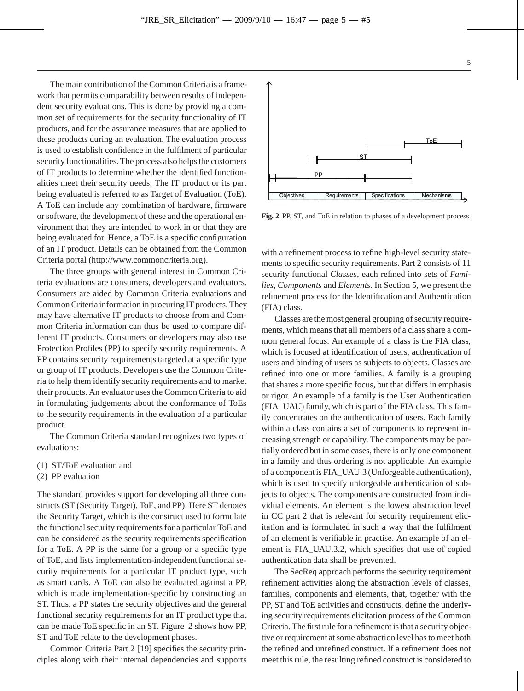The main contribution of the Common Criteria is a framework that permits comparability between results of independent security evaluations. This is done by providing a common set of requirements for the security functionality of IT products, and for the assurance measures that are applied to these products during an evaluation. The evaluation process is used to establish confidence in the fulfilment of particular security functionalities. The process also helps the customers of IT products to determine whether the identified functionalities meet their security needs. The IT product or its part being evaluated is referred to as Target of Evaluation (ToE). A ToE can include any combination of hardware, firmware or software, the development of these and the operational environment that they are intended to work in or that they are being evaluated for. Hence, a ToE is a specific configuration of an IT product. Details can be obtained from the Common Criteria portal (http://www.commoncriteria.org).

The three groups with general interest in Common Criteria evaluations are consumers, developers and evaluators. Consumers are aided by Common Criteria evaluations and Common Criteria information in procuring IT products. They may have alternative IT products to choose from and Common Criteria information can thus be used to compare different IT products. Consumers or developers may also use Protection Profiles (PP) to specify security requirements. A PP contains security requirements targeted at a specific type or group of IT products. Developers use the Common Criteria to help them identify security requirements and to market their products. An evaluator uses the Common Criteria to aid in formulating judgements about the conformance of ToEs to the security requirements in the evaluation of a particular product.

The Common Criteria standard recognizes two types of evaluations:

- (1) ST/ToE evaluation and
- (2) PP evaluation

The standard provides support for developing all three constructs (ST (Security Target), ToE, and PP). Here ST denotes the Security Target, which is the construct used to formulate the functional security requirements for a particular ToE and can be considered as the security requirements specification for a ToE. A PP is the same for a group or a specific type of ToE, and lists implementation-independent functional security requirements for a particular IT product type, such as smart cards. A ToE can also be evaluated against a PP, which is made implementation-specific by constructing an ST. Thus, a PP states the security objectives and the general functional security requirements for an IT product type that can be made ToE specific in an ST. Figure 2 shows how PP, ST and ToE relate to the development phases.

Common Criteria Part 2 [19] specifies the security principles along with their internal dependencies and supports



**Fig. 2** PP, ST, and ToE in relation to phases of a development process

with a refinement process to refine high-level security statements to specific security requirements. Part 2 consists of 11 security functional *Classes*, each refined into sets of *Families*, *Components* and *Elements*. In Section 5, we present the refinement process for the Identification and Authentication (FIA) class.

Classes are the most general grouping of security requirements, which means that all members of a class share a common general focus. An example of a class is the FIA class, which is focused at identification of users, authentication of users and binding of users as subjects to objects. Classes are refined into one or more families. A family is a grouping that shares a more specific focus, but that differs in emphasis or rigor. An example of a family is the User Authentication (FIA\_UAU) family, which is part of the FIA class. This family concentrates on the authentication of users. Each family within a class contains a set of components to represent increasing strength or capability. The components may be partially ordered but in some cases, there is only one component in a family and thus ordering is not applicable. An example of a component is FIA\_UAU.3 (Unforgeableauthentication), which is used to specify unforgeable authentication of subjects to objects. The components are constructed from individual elements. An element is the lowest abstraction level in CC part 2 that is relevant for security requirement elicitation and is formulated in such a way that the fulfilment of an element is verifiable in practise. An example of an element is FIA\_UAU.3.2, which specifies that use of copied authentication data shall be prevented.

The SecReq approach performs the security requirement refinement activities along the abstraction levels of classes, families, components and elements, that, together with the PP, ST and ToE activities and constructs, define the underlying security requirements elicitation process of the Common Criteria. The first rule for a refinement is that a security objective or requirement at some abstraction level has to meet both the refined and unrefined construct. If a refinement does not meet this rule, the resulting refined construct is considered to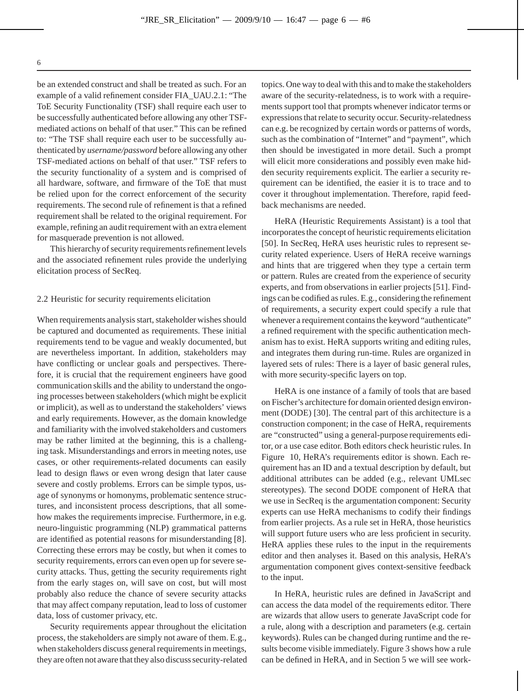be an extended construct and shall be treated as such. For an example of a valid refinement consider FIA\_UAU.2.1: "The ToE Security Functionality (TSF) shall require each user to be successfully authenticated before allowing any other TSFmediated actions on behalf of that user." This can be refined to: "The TSF shall require each user to be successfully authenticated by *username/password* before allowing any other TSF-mediated actions on behalf of that user." TSF refers to the security functionality of a system and is comprised of all hardware, software, and firmware of the ToE that must be relied upon for the correct enforcement of the security requirements. The second rule of refinement is that a refined requirement shall be related to the original requirement. For example, refining an audit requirement with an extra element for masquerade prevention is not allowed.

This hierarchy of security requirements refinement levels and the associated refinement rules provide the underlying elicitation process of SecReq.

#### 2.2 Heuristic for security requirements elicitation

When requirements analysis start, stakeholder wishes should be captured and documented as requirements. These initial requirements tend to be vague and weakly documented, but are nevertheless important. In addition, stakeholders may have conflicting or unclear goals and perspectives. Therefore, it is crucial that the requirement engineers have good communication skills and the ability to understand the ongoing processes between stakeholders (which might be explicit or implicit), as well as to understand the stakeholders' views and early requirements. However, as the domain knowledge and familiarity with the involved stakeholders and customers may be rather limited at the beginning, this is a challenging task. Misunderstandings and errors in meeting notes, use cases, or other requirements-related documents can easily lead to design flaws or even wrong design that later cause severe and costly problems. Errors can be simple typos, usage of synonyms or homonyms, problematic sentence structures, and inconsistent process descriptions, that all somehow makes the requirements imprecise. Furthermore, in e.g. neuro-linguistic programming (NLP) grammatical patterns are identified as potential reasons for misunderstanding [8]. Correcting these errors may be costly, but when it comes to security requirements, errors can even open up for severe security attacks. Thus, getting the security requirements right from the early stages on, will save on cost, but will most probably also reduce the chance of severe security attacks that may affect company reputation, lead to loss of customer data, loss of customer privacy, etc.

Security requirements appear throughout the elicitation process, the stakeholders are simply not aware of them. E.g., when stakeholders discuss general requirements in meetings, they are often not aware that they also discuss security-related

topics. One way to deal with this and to make the stakeholders aware of the security-relatedness, is to work with a requirements support tool that prompts whenever indicator terms or expressions that relate to security occur. Security-relatedness can e.g. be recognized by certain words or patterns of words, such as the combination of "Internet" and "payment", which then should be investigated in more detail. Such a prompt will elicit more considerations and possibly even make hidden security requirements explicit. The earlier a security requirement can be identified, the easier it is to trace and to cover it throughout implementation. Therefore, rapid feedback mechanisms are needed.

HeRA (Heuristic Requirements Assistant) is a tool that incorporates the concept of heuristic requirements elicitation [50]. In SecReq, HeRA uses heuristic rules to represent security related experience. Users of HeRA receive warnings and hints that are triggered when they type a certain term or pattern. Rules are created from the experience of security experts, and from observations in earlier projects [51]. Findings can be codified as rules. E.g., considering the refinement of requirements, a security expert could specify a rule that whenever a requirement contains the keyword "authenticate" a refined requirement with the specific authentication mechanism has to exist. HeRA supports writing and editing rules, and integrates them during run-time. Rules are organized in layered sets of rules: There is a layer of basic general rules, with more security-specific layers on top.

HeRA is one instance of a family of tools that are based on Fischer's architecture for domain oriented design environment (DODE) [30]. The central part of this architecture is a construction component; in the case of HeRA, requirements are "constructed" using a general-purpose requirements editor, or a use case editor. Both editors check heuristic rules. In Figure 10, HeRA's requirements editor is shown. Each requirement has an ID and a textual description by default, but additional attributes can be added (e.g., relevant UMLsec stereotypes). The second DODE component of HeRA that we use in SecReq is the argumentation component: Security experts can use HeRA mechanisms to codify their findings from earlier projects. As a rule set in HeRA, those heuristics will support future users who are less proficient in security. HeRA applies these rules to the input in the requirements editor and then analyses it. Based on this analysis, HeRA's argumentation component gives context-sensitive feedback to the input.

In HeRA, heuristic rules are defined in JavaScript and can access the data model of the requirements editor. There are wizards that allow users to generate JavaScript code for a rule, along with a description and parameters (e.g. certain keywords). Rules can be changed during runtime and the results become visible immediately. Figure 3 shows how a rule can be defined in HeRA, and in Section 5 we will see work-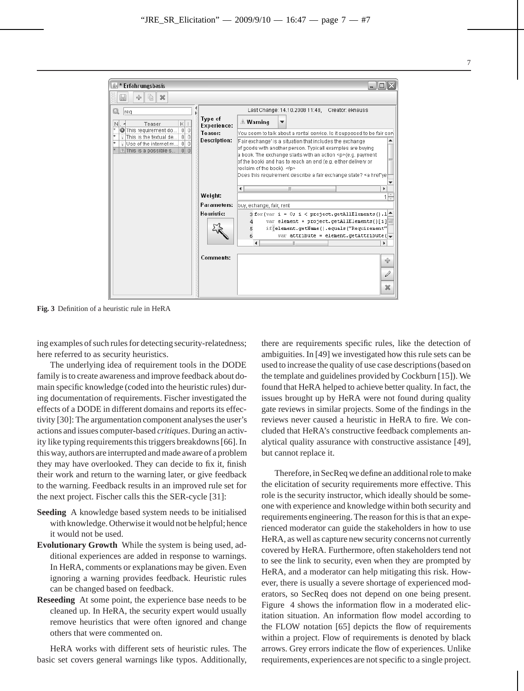



**Fig. 3** Definition of a heuristic rule in HeRA

ing examples of such rules for detecting security-relatedness; here referred to as security heuristics.

The underlying idea of requirement tools in the DODE family is to create awareness and improve feedback about domain specific knowledge (coded into the heuristic rules) during documentation of requirements. Fischer investigated the effects of a DODE in different domains and reports its effectivity [30]: The argumentation component analyses the user's actions and issues computer-based *critiques*. During an activity like typing requirements this triggers breakdowns [66]. In this way, authors are interrupted and made aware of a problem they may have overlooked. They can decide to fix it, finish their work and return to the warning later, or give feedback to the warning. Feedback results in an improved rule set for the next project. Fischer calls this the SER-cycle [31]:

- **Seeding** A knowledge based system needs to be initialised with knowledge. Otherwise it would not be helpful; hence it would not be used.
- **Evolutionary Growth** While the system is being used, additional experiences are added in response to warnings. In HeRA, comments or explanations may be given. Even ignoring a warning provides feedback. Heuristic rules can be changed based on feedback.
- **Reseeding** At some point, the experience base needs to be cleaned up. In HeRA, the security expert would usually remove heuristics that were often ignored and change others that were commented on.

HeRA works with different sets of heuristic rules. The basic set covers general warnings like typos. Additionally,

there are requirements specific rules, like the detection of ambiguities. In [49] we investigated how this rule sets can be used to increase the quality of use case descriptions (based on the template and guidelines provided by Cockburn [15]). We found that HeRA helped to achieve better quality. In fact, the issues brought up by HeRA were not found during quality gate reviews in similar projects. Some of the findings in the reviews never caused a heuristic in HeRA to fire. We concluded that HeRA's constructive feedback complements analytical quality assurance with constructive assistance [49], but cannot replace it.

Therefore, in SecReq we define an additional role to make the elicitation of security requirements more effective. This role is the security instructor, which ideally should be someone with experience and knowledge within both security and requirements engineering. The reason for this is that an experienced moderator can guide the stakeholders in how to use HeRA, as well as capture new security concerns not currently covered by HeRA. Furthermore, often stakeholders tend not to see the link to security, even when they are prompted by HeRA, and a moderator can help mitigating this risk. However, there is usually a severe shortage of experienced moderators, so SecReq does not depend on one being present. Figure 4 shows the information flow in a moderated elicitation situation. An information flow model according to the FLOW notation [65] depicts the flow of requirements within a project. Flow of requirements is denoted by black arrows. Grey errors indicate the flow of experiences. Unlike requirements, experiences are not specific to a single project.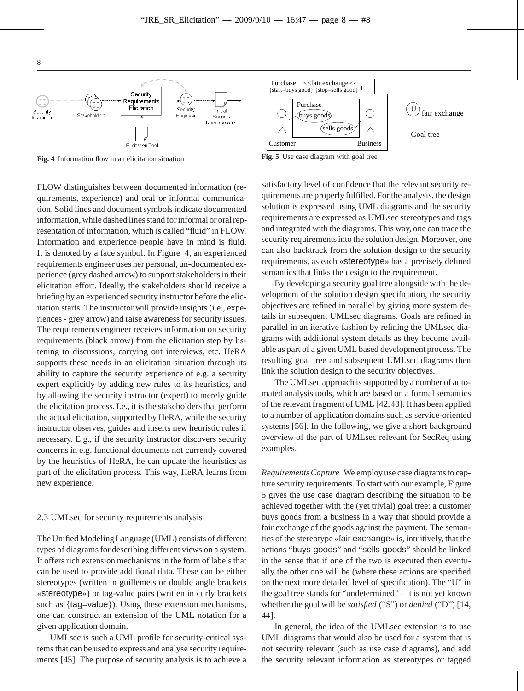

**Fig. 4** Information flow in an elicitation situation

FLOW distinguishes between documented information (requirements, experience) and oral or informal communication. Solid lines and document symbols indicate documented information, while dashed lines stand for informal or oral representation of information, which is called "fluid" in FLOW. Information and experience people have in mind is fluid. It is denoted by a face symbol. In Figure 4, an experienced requirements engineer uses her personal, un-documented experience (grey dashed arrow) to support stakeholders in their elicitation effort. Ideally, the stakeholders should receive a briefing by an experienced security instructor before the elicitation starts. The instructor will provide insights (i.e., experiences - grey arrow) and raise awareness for security issues. The requirements engineer receives information on security requirements (black arrow) from the elicitation step by listening to discussions, carrying out interviews, etc. HeRA supports these needs in an elicitation situation through its ability to capture the security experience of e.g. a security expert explicitly by adding new rules to its heuristics, and by allowing the security instructor (expert) to merely guide the elicitation process. I.e., it is the stakeholders that perform the actual elicitation, supported by HeRA, while the security instructor observes, guides and inserts new heuristic rules if necessary. E.g., if the security instructor discovers security concerns in e.g. functional documents not currently covered by the heuristics of HeRA, he can update the heuristics as part of the elicitation process. This way, HeRA learns from new experience.

#### 2.3 UMLsec for security requirements analysis

The Unified Modeling Language (UML) consists of different types of diagrams for describing different views on a system. It offers rich extension mechanisms in the form of labels that can be used to provide additional data. These can be either stereotypes (written in guillemets or double angle brackets «stereotype») or tag-value pairs (written in curly brackets such as  $\{tag=value\}$ ). Using these extension mechanisms, one can construct an extension of the UML notation for a given application domain.

UMLsec is such a UML profile for security-critical systems that can be used to express and analyse security requirements [45]. The purpose of security analysis is to achieve a



**Fig. 5** Use case diagram with goal tree

satisfactory level of confidence that the relevant security requirements are properly fulfilled. For the analysis, the design solution is expressed using UML diagrams and the security requirements are expressed as UMLsec stereotypes and tags and integrated with the diagrams. This way, one can trace the security requirements into the solution design. Moreover, one can also backtrack from the solution design to the security requirements, as each «stereotype» has a precisely defined semantics that links the design to the requirement.

By developing a security goal tree alongside with the development of the solution design specification, the security objectives are refined in parallel by giving more system details in subsequent UMLsec diagrams. Goals are refined in parallel in an iterative fashion by refining the UMLsec diagrams with additional system details as they become available as part of a given UML based development process. The resulting goal tree and subsequent UMLsec diagrams then link the solution design to the security objectives.

The UMLsec approach is supported by a number of automated analysis tools, which are based on a formal semantics of the relevant fragment of UML [42,43]. It has been applied to a number of application domains such as service-oriented systems [56]. In the following, we give a short background overview of the part of UMLsec relevant for SecReq using examples.

*Requirements Capture* We employ use case diagrams to capture security requirements. To start with our example, Figure 5 gives the use case diagram describing the situation to be achieved together with the (yet trivial) goal tree: a customer buys goods from a business in a way that should provide a fair exchange of the goods against the payment. The semantics of the stereotype «fair exchange» is, intuitively, that the actions "buys goods" and "sells goods" should be linked in the sense that if one of the two is executed then eventually the other one will be (where these actions are specified on the next more detailed level of specification). The "U" in the goal tree stands for "undetermined" – it is not yet known whether the goal will be *satisfied* ("S") or *denied* ("D") [14, 44].

In general, the idea of the UMLsec extension is to use UML diagrams that would also be used for a system that is not security relevant (such as use case diagrams), and add the security relevant information as stereotypes or tagged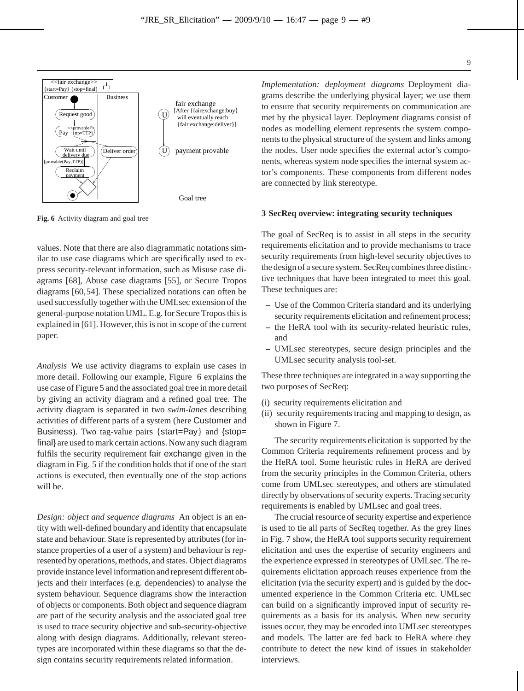

**Fig. 6** Activity diagram and goal tree

values. Note that there are also diagrammatic notations similar to use case diagrams which are specifically used to express security-relevant information, such as Misuse case diagrams [68], Abuse case diagrams [55], or Secure Tropos diagrams [60,54]. These specialized notations can often be used successfully together with the UMLsec extension of the general-purpose notation UML. E.g. for Secure Tropos this is explained in [61]. However, this is not in scope of the current paper.

*Analysis* We use activity diagrams to explain use cases in more detail. Following our example, Figure 6 explains the use case of Figure 5 and the associated goal tree in more detail by giving an activity diagram and a refined goal tree. The activity diagram is separated in two *swim-lanes* describing activities of different parts of a system (here Customer and Business). Two tag-value pairs {start=Pay} and {stop= final} are used to mark certain actions. Now any such diagram fulfils the security requirement fair exchange given in the diagram in Fig. 5 if the condition holds that if one of the start actions is executed, then eventually one of the stop actions will be.

*Design: object and sequence diagrams* An object is an entity with well-defined boundary and identity that encapsulate state and behaviour. State is represented by attributes (for instance properties of a user of a system) and behaviour is represented by operations, methods, and states. Object diagrams provide instance level information and represent different objects and their interfaces (e.g. dependencies) to analyse the system behaviour. Sequence diagrams show the interaction of objects or components. Both object and sequence diagram are part of the security analysis and the associated goal tree is used to trace security objective and sub-security-objective along with design diagrams. Additionally, relevant stereotypes are incorporated within these diagrams so that the design contains security requirements related information.

*Implementation: deployment diagrams* Deployment diagrams describe the underlying physical layer; we use them to ensure that security requirements on communication are met by the physical layer. Deployment diagrams consist of nodes as modelling element represents the system components to the physical structure of the system and links among the nodes. User node specifies the external actor's components, whereas system node specifies the internal system actor's components. These components from different nodes are connected by link stereotype.

### **3 SecReq overview: integrating security techniques**

The goal of SecReq is to assist in all steps in the security requirements elicitation and to provide mechanisms to trace security requirements from high-level security objectives to the design of a secure system. SecReq combines three distinctive techniques that have been integrated to meet this goal. These techniques are:

- **–** Use of the Common Criteria standard and its underlying security requirements elicitation and refinement process;
- **–** the HeRA tool with its security-related heuristic rules, and
- **–** UMLsec stereotypes, secure design principles and the UMLsec security analysis tool-set.

These three techniques are integrated in a way supporting the two purposes of SecReq:

- (i) security requirements elicitation and
- (ii) security requirements tracing and mapping to design, as shown in Figure 7.

The security requirements elicitation is supported by the Common Criteria requirements refinement process and by the HeRA tool. Some heuristic rules in HeRA are derived from the security principles in the Common Criteria, others come from UMLsec stereotypes, and others are stimulated directly by observations of security experts. Tracing security requirements is enabled by UMLsec and goal trees.

The crucial resource of security expertise and experience is used to tie all parts of SecReq together. As the grey lines in Fig. 7 show, the HeRA tool supports security requirement elicitation and uses the expertise of security engineers and the experience expressed in stereotypes of UMLsec. The requirements elicitation approach reuses experience from the elicitation (via the security expert) and is guided by the documented experience in the Common Criteria etc. UMLsec can build on a significantly improved input of security requirements as a basis for its analysis. When new security issues occur, they may be encoded into UMLsec stereotypes and models. The latter are fed back to HeRA where they contribute to detect the new kind of issues in stakeholder interviews.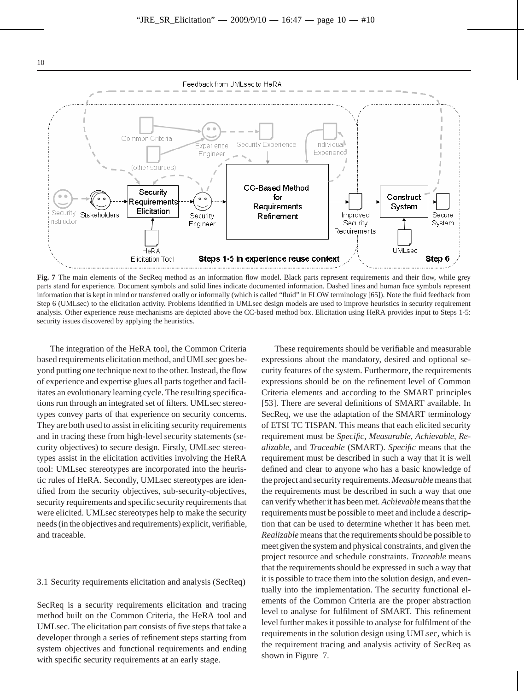



**Fig. 7** The main elements of the SecReq method as an information flow model. Black parts represent requirements and their flow, while grey parts stand for experience. Document symbols and solid lines indicate documented information. Dashed lines and human face symbols represent information that is kept in mind or transferred orally or informally (which is called "fluid" in FLOW terminology [65]). Note the fluid feedback from Step 6 (UMLsec) to the elicitation activity. Problems identified in UMLsec design models are used to improve heuristics in security requirement analysis. Other experience reuse mechanisms are depicted above the CC-based method box. Elicitation using HeRA provides input to Steps 1-5: security issues discovered by applying the heuristics.

The integration of the HeRA tool, the Common Criteria based requirements elicitation method, and UMLsec goes beyond putting one technique next to the other. Instead, the flow of experience and expertise glues all parts together and facilitates an evolutionary learning cycle. The resulting specifications run through an integrated set of filters. UMLsec stereotypes convey parts of that experience on security concerns. They are both used to assist in eliciting security requirements and in tracing these from high-level security statements (security objectives) to secure design. Firstly, UMLsec stereotypes assist in the elicitation activities involving the HeRA tool: UMLsec stereotypes are incorporated into the heuristic rules of HeRA. Secondly, UMLsec stereotypes are identified from the security objectives, sub-security-objectives, security requirements and specific security requirements that were elicited. UMLsec stereotypes help to make the security needs (in the objectives and requirements) explicit, verifiable, and traceable.

### 3.1 Security requirements elicitation and analysis (SecReq)

SecReq is a security requirements elicitation and tracing method built on the Common Criteria, the HeRA tool and UMLsec. The elicitation part consists of five steps that take a developer through a series of refinement steps starting from system objectives and functional requirements and ending with specific security requirements at an early stage.

These requirements should be verifiable and measurable expressions about the mandatory, desired and optional security features of the system. Furthermore, the requirements expressions should be on the refinement level of Common Criteria elements and according to the SMART principles [53]. There are several definitions of SMART available. In SecReq, we use the adaptation of the SMART terminology of ETSI TC TISPAN. This means that each elicited security requirement must be *Specific, Measurable, Achievable, Realizable,* and *Traceable* (SMART). *Specific* means that the requirement must be described in such a way that it is well defined and clear to anyone who has a basic knowledge of the project and security requirements. *Measurable*means that the requirements must be described in such a way that one can verify whether it has been met. *Achievable*means that the requirements must be possible to meet and include a description that can be used to determine whether it has been met. *Realizable* means that the requirements should be possible to meet given the system and physical constraints, and given the project resource and schedule constraints. *Traceable* means that the requirements should be expressed in such a way that it is possible to trace them into the solution design, and eventually into the implementation. The security functional elements of the Common Criteria are the proper abstraction level to analyse for fulfilment of SMART. This refinement level further makes it possible to analyse for fulfilment of the requirements in the solution design using UMLsec, which is the requirement tracing and analysis activity of SecReq as shown in Figure 7.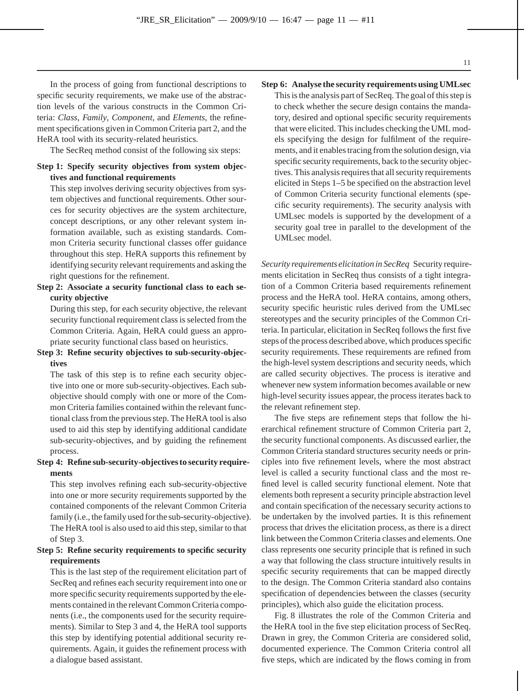In the process of going from functional descriptions to specific security requirements, we make use of the abstraction levels of the various constructs in the Common Criteria: *Class*, *Family*, *Component*, and *Elements*, the refinement specifications given in Common Criteria part 2, and the HeRA tool with its security-related heuristics.

The SecReq method consist of the following six steps:

# **Step 1: Specify security objectives from system objectives and functional requirements**

This step involves deriving security objectives from system objectives and functional requirements. Other sources for security objectives are the system architecture, concept descriptions, or any other relevant system information available, such as existing standards. Common Criteria security functional classes offer guidance throughout this step. HeRA supports this refinement by identifying security relevant requirements and asking the right questions for the refinement.

# **Step 2: Associate a security functional class to each security objective**

During this step, for each security objective, the relevant security functional requirement class is selected from the Common Criteria. Again, HeRA could guess an appropriate security functional class based on heuristics.

# **Step 3: Refine security objectives to sub-security-objectives**

The task of this step is to refine each security objective into one or more sub-security-objectives. Each subobjective should comply with one or more of the Common Criteria families contained within the relevant functional class from the previous step. The HeRA tool is also used to aid this step by identifying additional candidate sub-security-objectives, and by guiding the refinement process.

# **Step 4: Refine sub-security-objectives to security requirements**

This step involves refining each sub-security-objective into one or more security requirements supported by the contained components of the relevant Common Criteria family (i.e., the family used for the sub-security-objective). The HeRA tool is also used to aid this step, similar to that of Step 3.

# **Step 5: Refine security requirements to specific security requirements**

This is the last step of the requirement elicitation part of SecReq and refines each security requirement into one or more specific security requirements supported by the elements contained in the relevant Common Criteria components (i.e., the components used for the security requirements). Similar to Step 3 and 4, the HeRA tool supports this step by identifying potential additional security requirements. Again, it guides the refinement process with a dialogue based assistant.

# **Step 6: Analyse the security requirements using UMLsec**

This is the analysis part of SecReq. The goal of this step is to check whether the secure design contains the mandatory, desired and optional specific security requirements that were elicited. This includes checking the UML models specifying the design for fulfilment of the requirements, and it enables tracing from the solution design, via specific security requirements, back to the security objectives. This analysis requires that all security requirements elicited in Steps 1–5 be specified on the abstraction level of Common Criteria security functional elements (specific security requirements). The security analysis with UMLsec models is supported by the development of a security goal tree in parallel to the development of the UMLsec model.

*Security requirements elicitation in SecReq* Security requirements elicitation in SecReq thus consists of a tight integration of a Common Criteria based requirements refinement process and the HeRA tool. HeRA contains, among others, security specific heuristic rules derived from the UMLsec stereotypes and the security principles of the Common Criteria. In particular, elicitation in SecReq follows the first five steps of the process described above, which produces specific security requirements. These requirements are refined from the high-level system descriptions and security needs, which are called security objectives. The process is iterative and whenever new system information becomes available or new high-level security issues appear, the process iterates back to the relevant refinement step.

The five steps are refinement steps that follow the hierarchical refinement structure of Common Criteria part 2, the security functional components. As discussed earlier, the Common Criteria standard structures security needs or principles into five refinement levels, where the most abstract level is called a security functional class and the most refined level is called security functional element. Note that elements both represent a security principle abstraction level and contain specification of the necessary security actions to be undertaken by the involved parties. It is this refinement process that drives the elicitation process, as there is a direct link between the Common Criteria classes and elements. One class represents one security principle that is refined in such a way that following the class structure intuitively results in specific security requirements that can be mapped directly to the design. The Common Criteria standard also contains specification of dependencies between the classes (security principles), which also guide the elicitation process.

Fig. 8 illustrates the role of the Common Criteria and the HeRA tool in the five step elicitation process of SecReq. Drawn in grey, the Common Criteria are considered solid, documented experience. The Common Criteria control all five steps, which are indicated by the flows coming in from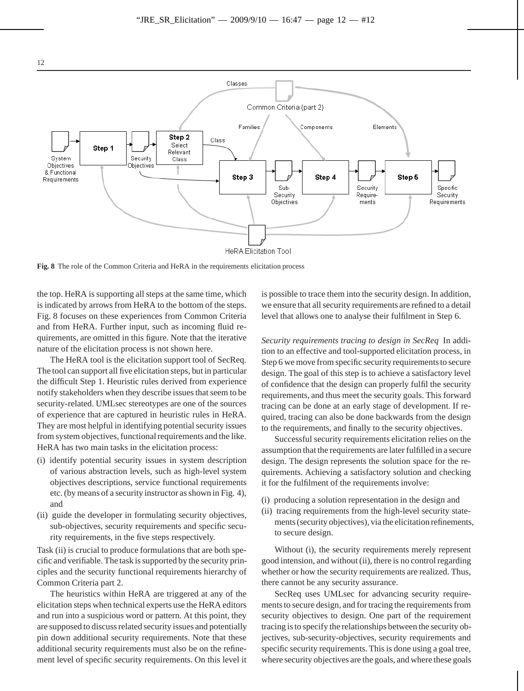

**Fig. 8** The role of the Common Criteria and HeRA in the requirements elicitation process

the top. HeRA is supporting all steps at the same time, which is indicated by arrows from HeRA to the bottom of the steps. Fig. 8 focuses on these experiences from Common Criteria and from HeRA. Further input, such as incoming fluid requirements, are omitted in this figure. Note that the iterative nature of the elicitation process is not shown here.

The HeRA tool is the elicitation support tool of SecReq. The tool can support all five elicitation steps, but in particular the difficult Step 1. Heuristic rules derived from experience notify stakeholders when they describe issues that seem to be security-related. UMLsec stereotypes are one of the sources of experience that are captured in heuristic rules in HeRA. They are most helpful in identifying potential security issues from system objectives, functional requirements and the like. HeRA has two main tasks in the elicitation process:

- (i) identify potential security issues in system description of various abstraction levels, such as high-level system objectives descriptions, service functional requirements etc. (by means of a security instructor as shown in Fig. 4), and
- (ii) guide the developer in formulating security objectives, sub-objectives, security requirements and specific security requirements, in the five steps respectively.

Task (ii) is crucial to produce formulations that are both specific and verifiable. The task is supported by the security principles and the security functional requirements hierarchy of Common Criteria part 2.

The heuristics within HeRA are triggered at any of the elicitation steps when technical experts use the HeRA editors and run into a suspicious word or pattern. At this point, they are supposed to discuss related security issues and potentially pin down additional security requirements. Note that these additional security requirements must also be on the refinement level of specific security requirements. On this level it

is possible to trace them into the security design. In addition, we ensure that all security requirements are refined to a detail level that allows one to analyse their fulfilment in Step 6.

*Security requirements tracing to design in SecReq* In addition to an effective and tool-supported elicitation process, in Step 6 we move from specific security requirements to secure design. The goal of this step is to achieve a satisfactory level of confidence that the design can properly fulfil the security requirements, and thus meet the security goals. This forward tracing can be done at an early stage of development. If required, tracing can also be done backwards from the design to the requirements, and finally to the security objectives.

Successful security requirements elicitation relies on the assumption that the requirements are later fulfilled in a secure design. The design represents the solution space for the requirements. Achieving a satisfactory solution and checking it for the fulfilment of the requirements involve:

- (i) producing a solution representation in the design and
- (ii) tracing requirements from the high-level security statements (security objectives), via the elicitation refinements, to secure design.

Without (i), the security requirements merely represent good intension, and without (ii), there is no control regarding whether or how the security requirements are realized. Thus, there cannot be any security assurance.

SecReq uses UMLsec for advancing security requirements to secure design, and for tracing the requirements from security objectives to design. One part of the requirement tracing is to specify the relationships between the security objectives, sub-security-objectives, security requirements and specific security requirements. This is done using a goal tree, where security objectives are the goals, and where these goals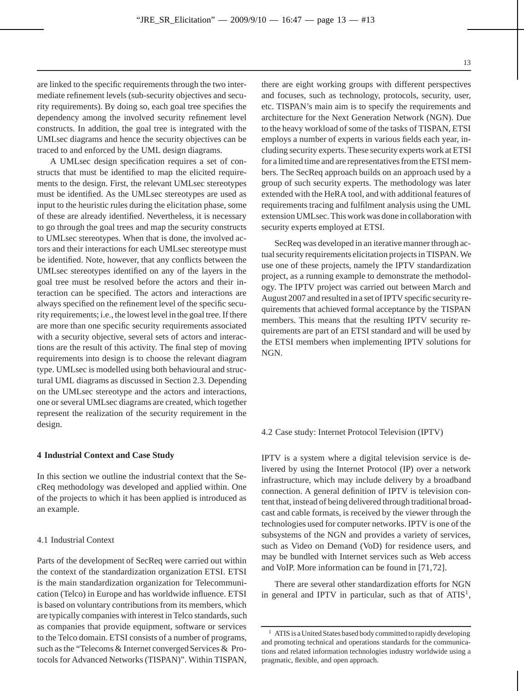are linked to the specific requirements through the two intermediate refinement levels (sub-security objectives and security requirements). By doing so, each goal tree specifies the dependency among the involved security refinement level constructs. In addition, the goal tree is integrated with the UMLsec diagrams and hence the security objectives can be traced to and enforced by the UML design diagrams.

A UMLsec design specification requires a set of constructs that must be identified to map the elicited requirements to the design. First, the relevant UMLsec stereotypes must be identified. As the UMLsec stereotypes are used as input to the heuristic rules during the elicitation phase, some of these are already identified. Nevertheless, it is necessary to go through the goal trees and map the security constructs to UMLsec stereotypes. When that is done, the involved actors and their interactions for each UMLsec stereotype must be identified. Note, however, that any conflicts between the UMLsec stereotypes identified on any of the layers in the goal tree must be resolved before the actors and their interaction can be specified. The actors and interactions are always specified on the refinement level of the specific security requirements; i.e., the lowest level in the goal tree. If there are more than one specific security requirements associated with a security objective, several sets of actors and interactions are the result of this activity. The final step of moving requirements into design is to choose the relevant diagram type. UMLsec is modelled using both behavioural and structural UML diagrams as discussed in Section 2.3. Depending on the UMLsec stereotype and the actors and interactions, one or several UMLsec diagrams are created, which together represent the realization of the security requirement in the design.

### **4 Industrial Context and Case Study**

In this section we outline the industrial context that the SecReq methodology was developed and applied within. One of the projects to which it has been applied is introduced as an example.

#### 4.1 Industrial Context

Parts of the development of SecReq were carried out within the context of the standardization organization ETSI. ETSI is the main standardization organization for Telecommunication (Telco) in Europe and has worldwide influence. ETSI is based on voluntary contributions from its members, which are typically companies with interest in Telco standards, such as companies that provide equipment, software or services to the Telco domain. ETSI consists of a number of programs, such as the "Telecoms & Internet converged Services & Protocols for Advanced Networks (TISPAN)". Within TISPAN,

there are eight working groups with different perspectives and focuses, such as technology, protocols, security, user, etc. TISPAN's main aim is to specify the requirements and architecture for the Next Generation Network (NGN). Due to the heavy workload of some of the tasks of TISPAN, ETSI employs a number of experts in various fields each year, including security experts. These security experts work at ETSI for a limited time and are representatives from the ETSI members. The SecReq approach builds on an approach used by a group of such security experts. The methodology was later extended with the HeRA tool, and with additional features of requirements tracing and fulfilment analysis using the UML extension UMLsec. This work was done in collaboration with security experts employed at ETSI.

SecReq was developed in an iterative manner through actual security requirements elicitation projects in TISPAN. We use one of these projects, namely the IPTV standardization project, as a running example to demonstrate the methodology. The IPTV project was carried out between March and August 2007 and resulted in a set of IPTV specific security requirements that achieved formal acceptance by the TISPAN members. This means that the resulting IPTV security requirements are part of an ETSI standard and will be used by the ETSI members when implementing IPTV solutions for NGN.

4.2 Case study: Internet Protocol Television (IPTV)

IPTV is a system where a digital television service is delivered by using the Internet Protocol (IP) over a network infrastructure, which may include delivery by a broadband connection. A general definition of IPTV is television content that, instead of being delivered through traditional broadcast and cable formats, is received by the viewer through the technologies used for computer networks. IPTV is one of the subsystems of the NGN and provides a variety of services, such as Video on Demand (VoD) for residence users, and may be bundled with Internet services such as Web access and VoIP. More information can be found in [71,72].

There are several other standardization efforts for NGN in general and IPTV in particular, such as that of  $ATIS<sup>1</sup>$ ,

13

 $1$  ATIS is a United States based body committed to rapidly developing and promoting technical and operations standards for the communications and related information technologies industry worldwide using a pragmatic, flexible, and open approach.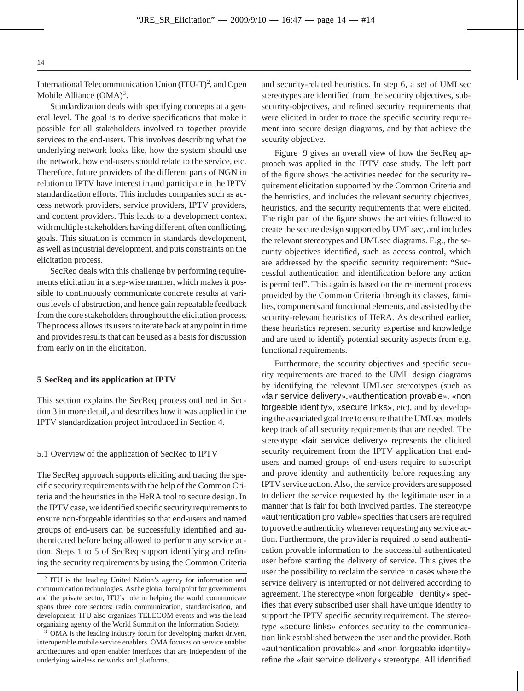International Telecommunication Union (ITU-T)<sup>2</sup>, and Open Mobile Alliance  $(OMA)^3$ .

Standardization deals with specifying concepts at a general level. The goal is to derive specifications that make it possible for all stakeholders involved to together provide services to the end-users. This involves describing what the underlying network looks like, how the system should use the network, how end-users should relate to the service, etc. Therefore, future providers of the different parts of NGN in relation to IPTV have interest in and participate in the IPTV standardization efforts. This includes companies such as access network providers, service providers, IPTV providers, and content providers. This leads to a development context with multiple stakeholders having different, often conflicting, goals. This situation is common in standards development, as well as industrial development, and puts constraints on the elicitation process.

SecReq deals with this challenge by performing requirements elicitation in a step-wise manner, which makes it possible to continuously communicate concrete results at various levels of abstraction, and hence gain repeatable feedback from the core stakeholders throughout the elicitation process. The process allows its users to iterate back at any point in time and provides results that can be used as a basis for discussion from early on in the elicitation.

# **5 SecReq and its application at IPTV**

This section explains the SecReq process outlined in Section 3 in more detail, and describes how it was applied in the IPTV standardization project introduced in Section 4.

#### 5.1 Overview of the application of SecReq to IPTV

The SecReq approach supports eliciting and tracing the specific security requirements with the help of the Common Criteria and the heuristics in the HeRA tool to secure design. In the IPTV case, we identified specific security requirements to ensure non-forgeable identities so that end-users and named groups of end-users can be successfully identified and authenticated before being allowed to perform any service action. Steps 1 to 5 of SecReq support identifying and refining the security requirements by using the Common Criteria

and security-related heuristics. In step 6, a set of UMLsec stereotypes are identified from the security objectives, subsecurity-objectives, and refined security requirements that were elicited in order to trace the specific security requirement into secure design diagrams, and by that achieve the security objective.

Figure 9 gives an overall view of how the SecReq approach was applied in the IPTV case study. The left part of the figure shows the activities needed for the security requirement elicitation supported by the Common Criteria and the heuristics, and includes the relevant security objectives, heuristics, and the security requirements that were elicited. The right part of the figure shows the activities followed to create the secure design supported by UMLsec, and includes the relevant stereotypes and UMLsec diagrams. E.g., the security objectives identified, such as access control, which are addressed by the specific security requirement: "Successful authentication and identification before any action is permitted". This again is based on the refinement process provided by the Common Criteria through its classes, families, components and functional elements, and assisted by the security-relevant heuristics of HeRA. As described earlier, these heuristics represent security expertise and knowledge and are used to identify potential security aspects from e.g. functional requirements.

Furthermore, the security objectives and specific security requirements are traced to the UML design diagrams by identifying the relevant UMLsec stereotypes (such as «fair service delivery»,«authentication provable», «non forgeable identity», «secure links», etc), and by developing the associated goal tree to ensure that the UMLsec models keep track of all security requirements that are needed. The stereotype «fair service delivery» represents the elicited security requirement from the IPTV application that endusers and named groups of end-users require to subscript and prove identity and authenticity before requesting any IPTV service action. Also, the service providers are supposed to deliver the service requested by the legitimate user in a manner that is fair for both involved parties. The stereotype «authentication pro vable» specifies that users are required to prove the authenticity whenever requesting any service action. Furthermore, the provider is required to send authentication provable information to the successful authenticated user before starting the delivery of service. This gives the user the possibility to reclaim the service in cases where the service delivery is interrupted or not delivered according to agreement. The stereotype «non forgeable identity» specifies that every subscribed user shall have unique identity to support the IPTV specific security requirement. The stereotype «secure links» enforces security to the communication link established between the user and the provider. Both «authentication provable» and «non forgeable identity» refine the «fair service delivery» stereotype. All identified

<sup>&</sup>lt;sup>2</sup> ITU is the leading United Nation's agency for information and communication technologies. As the global focal point for governments and the private sector, ITU's role in helping the world communicate spans three core sectors: radio communication, standardisation, and development. ITU also organizes TELECOM events and was the lead organizing agency of the World Summit on the Information Society.

OMA is the leading industry forum for developing market driven, interoperable mobile service enablers. OMA focuses on service enabler architectures and open enabler interfaces that are independent of the underlying wireless networks and platforms.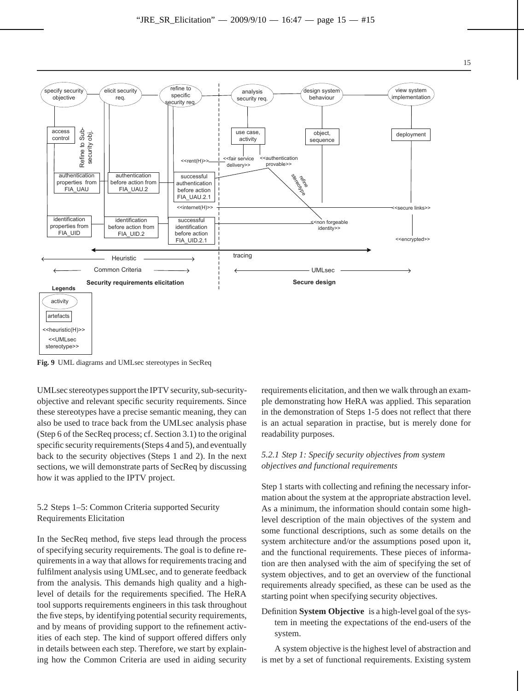

**Fig. 9** UML diagrams and UMLsec stereotypes in SecReq

UMLsec stereotypes support the IPTV security, sub-securityobjective and relevant specific security requirements. Since these stereotypes have a precise semantic meaning, they can also be used to trace back from the UMLsec analysis phase (Step 6 of the SecReq process; cf. Section 3.1) to the original specific security requirements (Steps 4 and 5), and eventually back to the security objectives (Steps 1 and 2). In the next sections, we will demonstrate parts of SecReq by discussing how it was applied to the IPTV project.

### 5.2 Steps 1–5: Common Criteria supported Security Requirements Elicitation

In the SecReq method, five steps lead through the process of specifying security requirements. The goal is to define requirements in a way that allows for requirements tracing and fulfilment analysis using UMLsec, and to generate feedback from the analysis. This demands high quality and a highlevel of details for the requirements specified. The HeRA tool supports requirements engineers in this task throughout the five steps, by identifying potential security requirements, and by means of providing support to the refinement activities of each step. The kind of support offered differs only in details between each step. Therefore, we start by explaining how the Common Criteria are used in aiding security

requirements elicitation, and then we walk through an example demonstrating how HeRA was applied. This separation in the demonstration of Steps 1-5 does not reflect that there is an actual separation in practise, but is merely done for readability purposes.

### *5.2.1 Step 1: Specify security objectives from system objectives and functional requirements*

Step 1 starts with collecting and refining the necessary information about the system at the appropriate abstraction level. As a minimum, the information should contain some highlevel description of the main objectives of the system and some functional descriptions, such as some details on the system architecture and/or the assumptions posed upon it, and the functional requirements. These pieces of information are then analysed with the aim of specifying the set of system objectives, and to get an overview of the functional requirements already specified, as these can be used as the starting point when specifying security objectives.

Definition **System Objective** is a high-level goal of the system in meeting the expectations of the end-users of the system.

A system objective is the highest level of abstraction and is met by a set of functional requirements. Existing system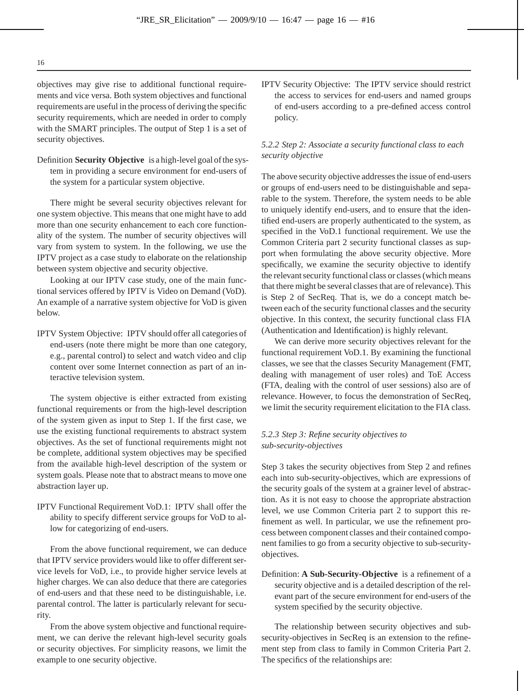16

objectives may give rise to additional functional requirements and vice versa. Both system objectives and functional requirements are useful in the process of deriving the specific security requirements, which are needed in order to comply with the SMART principles. The output of Step 1 is a set of security objectives.

Definition **Security Objective** is a high-level goal of the system in providing a secure environment for end-users of the system for a particular system objective.

There might be several security objectives relevant for one system objective. This means that one might have to add more than one security enhancement to each core functionality of the system. The number of security objectives will vary from system to system. In the following, we use the IPTV project as a case study to elaborate on the relationship between system objective and security objective.

Looking at our IPTV case study, one of the main functional services offered by IPTV is Video on Demand (VoD). An example of a narrative system objective for VoD is given below.

IPTV System Objective: IPTV should offer all categories of end-users (note there might be more than one category, e.g., parental control) to select and watch video and clip content over some Internet connection as part of an interactive television system.

The system objective is either extracted from existing functional requirements or from the high-level description of the system given as input to Step 1. If the first case, we use the existing functional requirements to abstract system objectives. As the set of functional requirements might not be complete, additional system objectives may be specified from the available high-level description of the system or system goals. Please note that to abstract means to move one abstraction layer up.

IPTV Functional Requirement VoD.1: IPTV shall offer the ability to specify different service groups for VoD to allow for categorizing of end-users.

From the above functional requirement, we can deduce that IPTV service providers would like to offer different service levels for VoD, i.e., to provide higher service levels at higher charges. We can also deduce that there are categories of end-users and that these need to be distinguishable, i.e. parental control. The latter is particularly relevant for security.

From the above system objective and functional requirement, we can derive the relevant high-level security goals or security objectives. For simplicity reasons, we limit the example to one security objective.

IPTV Security Objective: The IPTV service should restrict the access to services for end-users and named groups of end-users according to a pre-defined access control policy.

# *5.2.2 Step 2: Associate a security functional class to each security objective*

The above security objective addresses the issue of end-users or groups of end-users need to be distinguishable and separable to the system. Therefore, the system needs to be able to uniquely identify end-users, and to ensure that the identified end-users are properly authenticated to the system, as specified in the VoD.1 functional requirement. We use the Common Criteria part 2 security functional classes as support when formulating the above security objective. More specifically, we examine the security objective to identify the relevant security functional class or classes (which means that there might be several classes that are of relevance). This is Step 2 of SecReq. That is, we do a concept match between each of the security functional classes and the security objective. In this context, the security functional class FIA (Authentication and Identification) is highly relevant.

We can derive more security objectives relevant for the functional requirement VoD.1. By examining the functional classes, we see that the classes Security Management (FMT, dealing with management of user roles) and ToE Access (FTA, dealing with the control of user sessions) also are of relevance. However, to focus the demonstration of SecReq, we limit the security requirement elicitation to the FIA class.

# *5.2.3 Step 3: Refine security objectives to sub-security-objectives*

Step 3 takes the security objectives from Step 2 and refines each into sub-security-objectives, which are expressions of the security goals of the system at a grainer level of abstraction. As it is not easy to choose the appropriate abstraction level, we use Common Criteria part 2 to support this refinement as well. In particular, we use the refinement process between component classes and their contained component families to go from a security objective to sub-securityobjectives.

Definition: **A Sub-Security-Objective** is a refinement of a security objective and is a detailed description of the relevant part of the secure environment for end-users of the system specified by the security objective.

The relationship between security objectives and subsecurity-objectives in SecReq is an extension to the refinement step from class to family in Common Criteria Part 2. The specifics of the relationships are: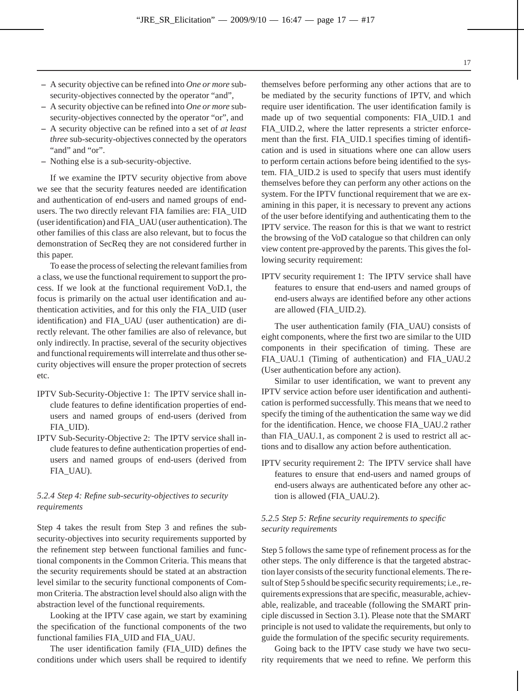- **–** A security objective can be refined into *One or more* subsecurity-objectives connected by the operator "and",
- **–** A security objective can be refined into *One or more* subsecurity-objectives connected by the operator "or", and
- **–** A security objective can be refined into a set of *at least three* sub-security-objectives connected by the operators "and" and "or".
- **–** Nothing else is a sub-security-objective.

If we examine the IPTV security objective from above we see that the security features needed are identification and authentication of end-users and named groups of endusers. The two directly relevant FIA families are: FIA\_UID (user identification) and FIA\_UAU (user authentication). The other families of this class are also relevant, but to focus the demonstration of SecReq they are not considered further in this paper.

To ease the process of selecting the relevant families from a class, we use the functional requirement to support the process. If we look at the functional requirement VoD.1, the focus is primarily on the actual user identification and authentication activities, and for this only the FIA\_UID (user identification) and FIA\_UAU (user authentication) are directly relevant. The other families are also of relevance, but only indirectly. In practise, several of the security objectives and functional requirements will interrelate and thus other security objectives will ensure the proper protection of secrets etc.

- IPTV Sub-Security-Objective 1: The IPTV service shall include features to define identification properties of endusers and named groups of end-users (derived from FIA\_UID).
- IPTV Sub-Security-Objective 2: The IPTV service shall include features to define authentication properties of endusers and named groups of end-users (derived from FIA\_UAU).

# *5.2.4 Step 4: Refine sub-security-objectives to security requirements*

Step 4 takes the result from Step 3 and refines the subsecurity-objectives into security requirements supported by the refinement step between functional families and functional components in the Common Criteria. This means that the security requirements should be stated at an abstraction level similar to the security functional components of Common Criteria. The abstraction level should also align with the abstraction level of the functional requirements.

Looking at the IPTV case again, we start by examining the specification of the functional components of the two functional families FIA\_UID and FIA\_UAU.

The user identification family (FIA\_UID) defines the conditions under which users shall be required to identify

themselves before performing any other actions that are to be mediated by the security functions of IPTV, and which require user identification. The user identification family is made up of two sequential components: FIA\_UID.1 and FIA\_UID.2, where the latter represents a stricter enforcement than the first. FIA\_UID.1 specifies timing of identification and is used in situations where one can allow users to perform certain actions before being identified to the system. FIA\_UID.2 is used to specify that users must identify themselves before they can perform any other actions on the system. For the IPTV functional requirement that we are examining in this paper, it is necessary to prevent any actions of the user before identifying and authenticating them to the IPTV service. The reason for this is that we want to restrict the browsing of the VoD catalogue so that children can only view content pre-approved by the parents. This gives the following security requirement:

IPTV security requirement 1: The IPTV service shall have features to ensure that end-users and named groups of end-users always are identified before any other actions are allowed (FIA\_UID.2).

The user authentication family (FIA\_UAU) consists of eight components, where the first two are similar to the UID components in their specification of timing. These are FIA\_UAU.1 (Timing of authentication) and FIA\_UAU.2 (User authentication before any action).

Similar to user identification, we want to prevent any IPTV service action before user identification and authentication is performed successfully. This means that we need to specify the timing of the authentication the same way we did for the identification. Hence, we choose FIA\_UAU.2 rather than FIA\_UAU.1, as component 2 is used to restrict all actions and to disallow any action before authentication.

IPTV security requirement 2: The IPTV service shall have features to ensure that end-users and named groups of end-users always are authenticated before any other action is allowed (FIA\_UAU.2).

# *5.2.5 Step 5: Refine security requirements to specific security requirements*

Step 5 follows the same type of refinement process as for the other steps. The only difference is that the targeted abstraction layer consists of the security functional elements. The result of Step 5 should be specific security requirements; i.e., requirements expressions that are specific, measurable, achievable, realizable, and traceable (following the SMART principle discussed in Section 3.1). Please note that the SMART principle is not used to validate the requirements, but only to guide the formulation of the specific security requirements.

Going back to the IPTV case study we have two security requirements that we need to refine. We perform this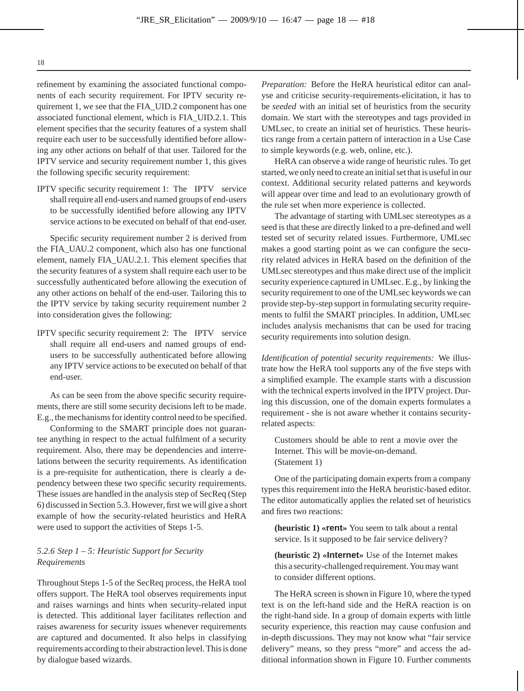18

refinement by examining the associated functional components of each security requirement. For IPTV security requirement 1, we see that the FIA\_UID.2 component has one associated functional element, which is FIA\_UID.2.1. This element specifies that the security features of a system shall require each user to be successfully identified before allowing any other actions on behalf of that user. Tailored for the IPTV service and security requirement number 1, this gives the following specific security requirement:

IPTV specific security requirement 1: The IPTV service shall require all end-users and named groups of end-users to be successfully identified before allowing any IPTV service actions to be executed on behalf of that end-user.

Specific security requirement number 2 is derived from the FIA\_UAU.2 component, which also has one functional element, namely FIA\_UAU.2.1. This element specifies that the security features of a system shall require each user to be successfully authenticated before allowing the execution of any other actions on behalf of the end-user. Tailoring this to the IPTV service by taking security requirement number 2 into consideration gives the following:

IPTV specific security requirement 2: The IPTV service shall require all end-users and named groups of endusers to be successfully authenticated before allowing any IPTV service actions to be executed on behalf of that end-user.

As can be seen from the above specific security requirements, there are still some security decisions left to be made. E.g., the mechanisms for identity control need to be specified.

Conforming to the SMART principle does not guarantee anything in respect to the actual fulfilment of a security requirement. Also, there may be dependencies and interrelations between the security requirements. As identification is a pre-requisite for authentication, there is clearly a dependency between these two specific security requirements. These issues are handled in the analysis step of SecReq (Step 6) discussed in Section 5.3. However, first we will give a short example of how the security-related heuristics and HeRA were used to support the activities of Steps 1-5.

# *5.2.6 Step 1 – 5: Heuristic Support for Security Requirements*

Throughout Steps 1-5 of the SecReq process, the HeRA tool offers support. The HeRA tool observes requirements input and raises warnings and hints when security-related input is detected. This additional layer facilitates reflection and raises awareness for security issues whenever requirements are captured and documented. It also helps in classifying requirements according to their abstraction level. This is done by dialogue based wizards.

*Preparation:* Before the HeRA heuristical editor can analyse and criticise security-requirements-elicitation, it has to be *seeded* with an initial set of heuristics from the security domain. We start with the stereotypes and tags provided in UMLsec, to create an initial set of heuristics. These heuristics range from a certain pattern of interaction in a Use Case to simple keywords (e.g. web, online, etc.).

HeRA can observe a wide range of heuristic rules. To get started, we only need to create an initial set that is useful in our context. Additional security related patterns and keywords will appear over time and lead to an evolutionary growth of the rule set when more experience is collected.

The advantage of starting with UMLsec stereotypes as a seed is that these are directly linked to a pre-defined and well tested set of security related issues. Furthermore, UMLsec makes a good starting point as we can configure the security related advices in HeRA based on the definition of the UMLsec stereotypes and thus make direct use of the implicit security experience captured in UMLsec. E.g., by linking the security requirement to one of the UMLsec keywords we can provide step-by-step support in formulating security requirements to fulfil the SMART principles. In addition, UMLsec includes analysis mechanisms that can be used for tracing security requirements into solution design.

*Identification of potential security requirements:* We illustrate how the HeRA tool supports any of the five steps with a simplified example. The example starts with a discussion with the technical experts involved in the IPTV project. During this discussion, one of the domain experts formulates a requirement - she is not aware whether it contains securityrelated aspects:

Customers should be able to rent a movie over the Internet. This will be movie-on-demand. (Statement 1)

One of the participating domain experts from a company types this requirement into the HeRA heuristic-based editor. The editor automatically applies the related set of heuristics and fires two reactions:

**(heuristic 1) «rent»** You seem to talk about a rental service. Is it supposed to be fair service delivery?

**(heuristic 2) «Internet»** Use of the Internet makes this a security-challenged requirement. You may want to consider different options.

The HeRA screen is shown in Figure 10, where the typed text is on the left-hand side and the HeRA reaction is on the right-hand side. In a group of domain experts with little security experience, this reaction may cause confusion and in-depth discussions. They may not know what "fair service delivery" means, so they press "more" and access the additional information shown in Figure 10. Further comments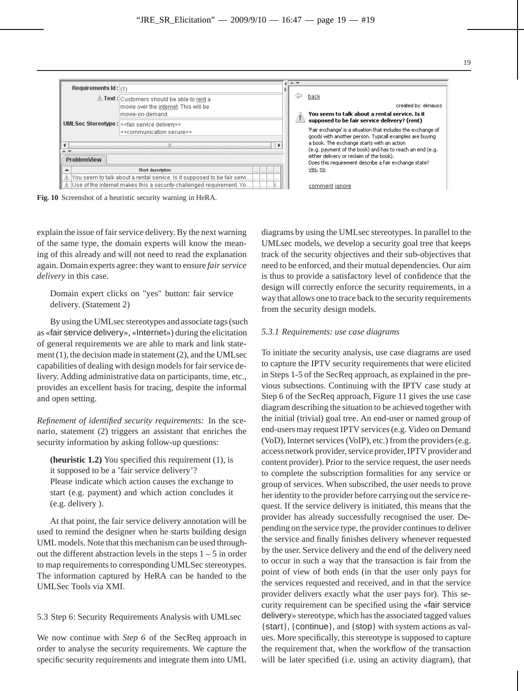

**Fig. 10** Screenshot of a heuristic security warning in HeRA.

explain the issue of fair service delivery. By the next warning of the same type, the domain experts will know the meaning of this already and will not need to read the explanation again. Domain experts agree: they want to ensure *fair service delivery* in this case.

Domain expert clicks on "yes" button: fair service delivery. (Statement 2)

By using the UMLsec stereotypes and associate tags (such as «fair service delivery», «Internet») during the elicitation of general requirements we are able to mark and link statement (1), the decision made in statement (2), and the UMLsec capabilities of dealing with design models for fair service delivery. Adding administrative data on participants, time, etc., provides an excellent basis for tracing, despite the informal and open setting.

*Refinement of identified security requirements:* In the scenario, statement (2) triggers an assistant that enriches the security information by asking follow-up questions:

**(heuristic 1.2)** You specified this requirement (1), is it supposed to be a 'fair service delivery'? Please indicate which action causes the exchange to start (e.g. payment) and which action concludes it (e.g. delivery ).

At that point, the fair service delivery annotation will be used to remind the designer when he starts building design UML models. Note that this mechanism can be used throughout the different abstraction levels in the steps  $1 - 5$  in order to map requirements to corresponding UMLSec stereotypes. The information captured by HeRA can be handed to the UMLSec Tools via XMI.

5.3 Step 6: Security Requirements Analysis with UMLsec

We now continue with *Step 6* of the SecReq approach in order to analyse the security requirements. We capture the specific security requirements and integrate them into UML diagrams by using the UMLsec stereotypes. In parallel to the UMLsec models, we develop a security goal tree that keeps track of the security objectives and their sub-objectives that need to be enforced, and their mutual dependencies. Our aim is thus to provide a satisfactory level of confidence that the design will correctly enforce the security requirements, in a way that allows one to trace back to the security requirements from the security design models.

#### *5.3.1 Requirements: use case diagrams*

To initiate the security analysis, use case diagrams are used to capture the IPTV security requirements that were elicited in Steps 1-5 of the SecReq approach, as explained in the previous subsections. Continuing with the IPTV case study at Step 6 of the SecReq approach, Figure 11 gives the use case diagram describing the situation to be achieved together with the initial (trivial) goal tree. An end-user or named group of end-users may request IPTV services (e.g. Video on Demand (VoD), Internet services (VoIP), etc.) from the providers (e.g. access network provider, service provider, IPTV provider and content provider). Prior to the service request, the user needs to complete the subscription formalities for any service or group of services. When subscribed, the user needs to prove her identity to the provider before carrying out the service request. If the service delivery is initiated, this means that the provider has already successfully recognised the user. Depending on the service type, the provider continues to deliver the service and finally finishes delivery whenever requested by the user. Service delivery and the end of the delivery need to occur in such a way that the transaction is fair from the point of view of both ends (in that the user only pays for the services requested and received, and in that the service provider delivers exactly what the user pays for). This security requirement can be specified using the «fair service delivery» stereotype, which has the associated tagged values {start}, {continue}, and {stop} with system actions as values. More specifically, this stereotype is supposed to capture the requirement that, when the workflow of the transaction will be later specified (i.e. using an activity diagram), that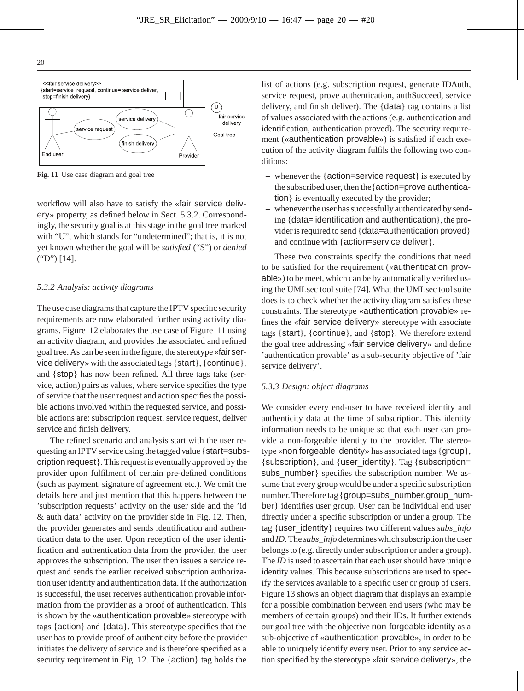

**Fig. 11** Use case diagram and goal tree

workflow will also have to satisfy the «fair service delivery» property, as defined below in Sect. 5.3.2. Correspondingly, the security goal is at this stage in the goal tree marked with "U", which stands for "undetermined"; that is, it is not yet known whether the goal will be *satisfied* ("S") or *denied* ("D") [14].

#### *5.3.2 Analysis: activity diagrams*

The use case diagrams that capture the IPTV specific security requirements are now elaborated further using activity diagrams. Figure 12 elaborates the use case of Figure 11 using an activity diagram, and provides the associated and refined goal tree. As can be seen in the figure, the stereotype «fairservice delivery» with the associated tags {start}, {continue}, and {stop} has now been refined. All three tags take (service, action) pairs as values, where service specifies the type of service that the user request and action specifies the possible actions involved within the requested service, and possible actions are: subscription request, service request, deliver service and finish delivery.

The refined scenario and analysis start with the user requesting an IPTV service using the tagged value {start=subscription request}. This request is eventually approved by the provider upon fulfilment of certain pre-defined conditions (such as payment, signature of agreement etc.). We omit the details here and just mention that this happens between the 'subscription requests' activity on the user side and the 'id & auth data' activity on the provider side in Fig. 12. Then, the provider generates and sends identification and authentication data to the user. Upon reception of the user identification and authentication data from the provider, the user approves the subscription. The user then issues a service request and sends the earlier received subscription authorization user identity and authentication data. If the authorization is successful, the user receives authentication provable information from the provider as a proof of authentication. This is shown by the «authentication provable» stereotype with tags {action} and {data}. This stereotype specifies that the user has to provide proof of authenticity before the provider initiates the delivery of service and is therefore specified as a security requirement in Fig. 12. The {action} tag holds the

list of actions (e.g. subscription request, generate IDAuth, service request, prove authentication, authSucceed, service delivery, and finish deliver). The {data} tag contains a list of values associated with the actions (e.g. authentication and identification, authentication proved). The security requirement («authentication provable») is satisfied if each execution of the activity diagram fulfils the following two conditions:

- **–** whenever the {action=service request} is executed by the subscribed user, then the{action=prove authentication} is eventually executed by the provider;
- **–** whenever the user has successfully authenticated by sending {data= identification and authentication}, the provider is required to send {data=authentication proved} and continue with {action=service deliver}.

These two constraints specify the conditions that need to be satisfied for the requirement («authentication provable») to be meet, which can be by automatically verified using the UMLsec tool suite [74]. What the UMLsec tool suite does is to check whether the activity diagram satisfies these constraints. The stereotype «authentication provable» refines the «fair service delivery» stereotype with associate tags {start}, {continue}, and {stop}. We therefore extend the goal tree addressing «fair service delivery» and define 'authentication provable' as a sub-security objective of 'fair service delivery'.

### *5.3.3 Design: object diagrams*

We consider every end-user to have received identity and authenticity data at the time of subscription. This identity information needs to be unique so that each user can provide a non-forgeable identity to the provider. The stereotype «non forgeable identity» has associated tags {group}, {subscription}, and {user\_identity}. Tag {subscription= subs\_number} specifies the subscription number. We assume that every group would be under a specific subscription number. Therefore tag {group=subs\_number.group\_number} identifies user group. User can be individual end user directly under a specific subscription or under a group. The tag {user\_identity} requires two different values *subs\_info* and *ID*. The *subs\_info* determines which subscription the user belongs to (e.g. directly under subscription or under a group). The *ID* is used to ascertain that each user should have unique identity values. This because subscriptions are used to specify the services available to a specific user or group of users. Figure 13 shows an object diagram that displays an example for a possible combination between end users (who may be members of certain groups) and their IDs. It further extends our goal tree with the objective non-forgeable identity as a sub-objective of «authentication provable», in order to be able to uniquely identify every user. Prior to any service action specified by the stereotype «fair service delivery», the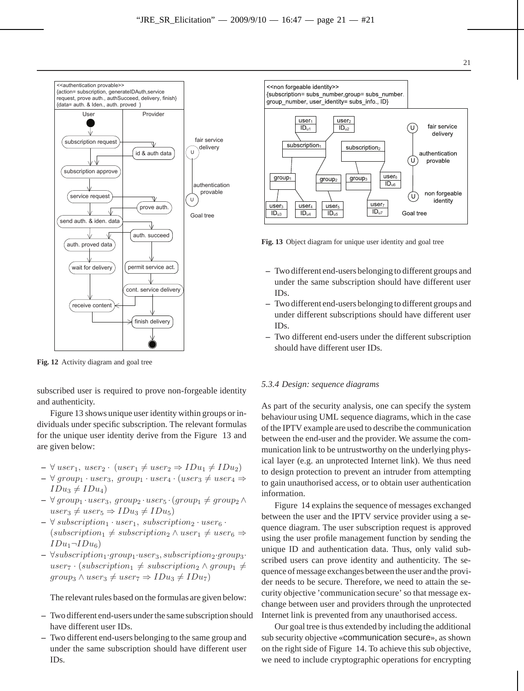

**Fig. 12** Activity diagram and goal tree

subscribed user is required to prove non-forgeable identity and authenticity.

Figure 13 shows unique user identity within groups or individuals under specific subscription. The relevant formulas for the unique user identity derive from the Figure 13 and are given below:

- $\forall user_1, user_2 \cdot (user_1 \neq user_2 \Rightarrow IDu_1 \neq IDu_2)$
- $-$  ∀ group<sub>1</sub> · user<sub>3</sub>, group<sub>1</sub> · user<sub>4</sub> · (user<sub>3</sub>  $\neq$  user<sub>4</sub>  $\Rightarrow$  $IDu_3 \neq IDu_4$
- $-$  ∀ group<sub>1</sub> · user<sub>3</sub>, group<sub>2</sub> · user<sub>5</sub> · (group<sub>1</sub>  $\neq$  group<sub>2</sub> ∧  $user_3 \neq user_5 \Rightarrow IDu_3 \neq IDu_5$
- $\forall$  subscription<sub>1</sub> · user<sub>1</sub>, subscription<sub>2</sub> · user<sub>6</sub> ·  $(subscripton_1 \neq subscripton_2 \land user_1 \neq user_6 \Rightarrow$  $IDu_1 \neg IDu_6$
- **–** ∀subscription1·group1·user3, subscription2·group3·  $user_7 \cdot (subscripton_1 \neq subscription_2 \land group_1 \neq$  $groups \land user_3 \neq user_7 \Rightarrow IDu_3 \neq IDu_7)$

The relevant rules based on the formulas are given below:

- **–** Two different end-users under the same subscription should have different user IDs.
- **–** Two different end-users belonging to the same group and under the same subscription should have different user IDs.



**Fig. 13** Object diagram for unique user identity and goal tree

- **–** Two different end-users belonging to different groups and under the same subscription should have different user IDs.
- **–** Two different end-users belonging to different groups and under different subscriptions should have different user IDs.
- **–** Two different end-users under the different subscription should have different user IDs.

### *5.3.4 Design: sequence diagrams*

As part of the security analysis, one can specify the system behaviour using UML sequence diagrams, which in the case of the IPTV example are used to describe the communication between the end-user and the provider. We assume the communication link to be untrustworthy on the underlying physical layer (e.g. an unprotected Internet link). We thus need to design protection to prevent an intruder from attempting to gain unauthorised access, or to obtain user authentication information.

Figure 14 explains the sequence of messages exchanged between the user and the IPTV service provider using a sequence diagram. The user subscription request is approved using the user profile management function by sending the unique ID and authentication data. Thus, only valid subscribed users can prove identity and authenticity. The sequence of message exchanges between the user and the provider needs to be secure. Therefore, we need to attain the security objective 'communication secure' so that message exchange between user and providers through the unprotected Internet link is prevented from any unauthorised access.

Our goal tree is thus extended by including the additional sub security objective «communication secure», as shown on the right side of Figure 14. To achieve this sub objective, we need to include cryptographic operations for encrypting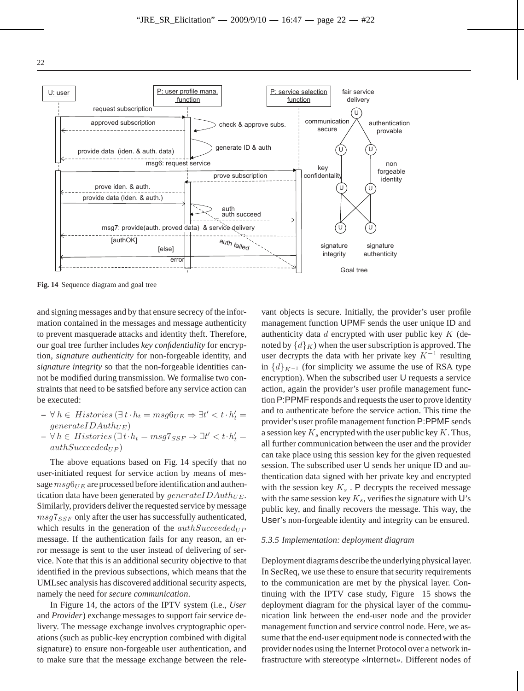



**Fig. 14** Sequence diagram and goal tree

and signing messages and by that ensure secrecy of the information contained in the messages and message authenticity to prevent masquerade attacks and identity theft. Therefore, our goal tree further includes *key confidentiality* for encryption, *signature authenticity* for non-forgeable identity, and *signature integrity* so that the non-forgeable identities cannot be modified during transmission. We formalise two constraints that need to be satsfied before any service action can be executed:

- $\forall h \in H \text{istories} (\exists t \cdot h_t = msg6_{UE} \Rightarrow \exists t' < t \cdot h_t' =$  $qenerateIDAuthor_{UE})$
- $\forall h \in H \text{istories} (\exists t \cdot h_t = m \text{sg} \tau_{\text{SSF}} \Rightarrow \exists t' < t \cdot h_t' =$  $authSucceeded_{UP}$

The above equations based on Fig. 14 specify that no user-initiated request for service action by means of message  $msg6_{UE}$  are processed before identification and authentication data have been generated by  $generate IDAuth_{UE}$ . Similarly, providers deliver the requested service by message  $msg7_{SSF}$  only after the user has successfully authenticated, which results in the generation of the  $authSucceeded_{UP}$ message. If the authentication fails for any reason, an error message is sent to the user instead of delivering of service. Note that this is an additional security objective to that identified in the previous subsections, which means that the UMLsec analysis has discovered additional security aspects, namely the need for *secure communication*.

In Figure 14, the actors of the IPTV system (i.e., *User* and *Provider*) exchange messages to support fair service delivery. The message exchange involves cryptographic operations (such as public-key encryption combined with digital signature) to ensure non-forgeable user authentication, and to make sure that the message exchange between the relevant objects is secure. Initially, the provider's user profile management function UPMF sends the user unique ID and authenticity data  $d$  encrypted with user public key  $K$  (denoted by  $\{d\}_K$ ) when the user subscription is approved. The user decrypts the data with her private key  $K^{-1}$  resulting in  $\{d\}_{K^{-1}}$  (for simplicity we assume the use of RSA type encryption). When the subscribed user U requests a service action, again the provider's user profile management function P:PPMF responds and requests the user to prove identity and to authenticate before the service action. This time the provider's user profile management function P:PPMF sends a session key  $K_s$  encrypted with the user public key K. Thus, all further communication between the user and the provider can take place using this session key for the given requested session. The subscribed user U sends her unique ID and authentication data signed with her private key and encrypted with the session key  $K_s$ . P decrypts the received message with the same session key  $K_s$ , verifies the signature with  $U$ 's public key, and finally recovers the message. This way, the User's non-forgeable identity and integrity can be ensured.

### *5.3.5 Implementation: deployment diagram*

Deployment diagrams describe the underlying physical layer. In SecReq, we use these to ensure that security requirements to the communication are met by the physical layer. Continuing with the IPTV case study, Figure 15 shows the deployment diagram for the physical layer of the communication link between the end-user node and the provider management function and service control node. Here, we assume that the end-user equipment node is connected with the provider nodes using the Internet Protocol over a network infrastructure with stereotype «Internet». Different nodes of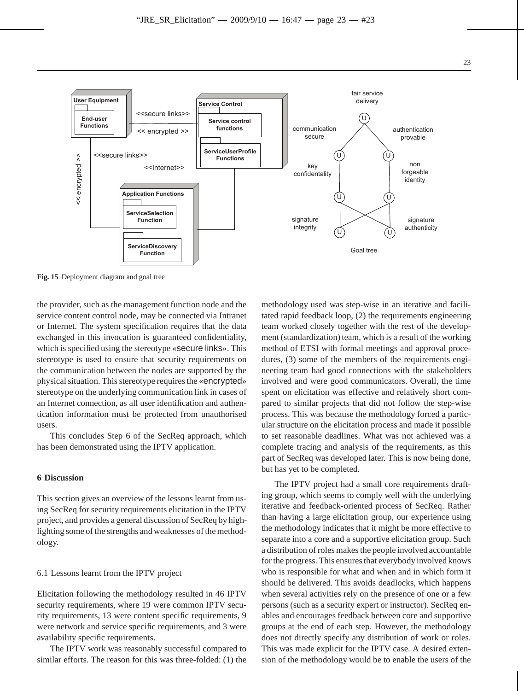

**Fig. 15** Deployment diagram and goal tree

the provider, such as the management function node and the service content control node, may be connected via Intranet or Internet. The system specification requires that the data exchanged in this invocation is guaranteed confidentiality, which is specified using the stereotype «secure links». This stereotype is used to ensure that security requirements on the communication between the nodes are supported by the physical situation. This stereotype requires the «encrypted» stereotype on the underlying communication link in cases of an Internet connection, as all user identification and authentication information must be protected from unauthorised users.

This concludes Step 6 of the SecReq approach, which has been demonstrated using the IPTV application.

### **6 Discussion**

This section gives an overview of the lessons learnt from using SecReq for security requirements elicitation in the IPTV project, and provides a general discussion of SecReq by highlighting some of the strengths and weaknesses of the methodology.

# 6.1 Lessons learnt from the IPTV project

Elicitation following the methodology resulted in 46 IPTV security requirements, where 19 were common IPTV security requirements, 13 were content specific requirements, 9 were network and service specific requirements, and 3 were availability specific requirements.

The IPTV work was reasonably successful compared to similar efforts. The reason for this was three-folded: (1) the

methodology used was step-wise in an iterative and facilitated rapid feedback loop, (2) the requirements engineering team worked closely together with the rest of the development (standardization) team, which is a result of the working method of ETSI with formal meetings and approval procedures, (3) some of the members of the requirements engineering team had good connections with the stakeholders involved and were good communicators. Overall, the time spent on elicitation was effective and relatively short compared to similar projects that did not follow the step-wise process. This was because the methodology forced a particular structure on the elicitation process and made it possible to set reasonable deadlines. What was not achieved was a complete tracing and analysis of the requirements, as this part of SecReq was developed later. This is now being done, but has yet to be completed.

The IPTV project had a small core requirements drafting group, which seems to comply well with the underlying iterative and feedback-oriented process of SecReq. Rather than having a large elicitation group, our experience using the methodology indicates that it might be more effective to separate into a core and a supportive elicitation group. Such a distribution of roles makes the people involved accountable for the progress. This ensures that everybody involved knows who is responsible for what and when and in which form it should be delivered. This avoids deadlocks, which happens when several activities rely on the presence of one or a few persons (such as a security expert or instructor). SecReq enables and encourages feedback between core and supportive groups at the end of each step. However, the methodology does not directly specify any distribution of work or roles. This was made explicit for the IPTV case. A desired extension of the methodology would be to enable the users of the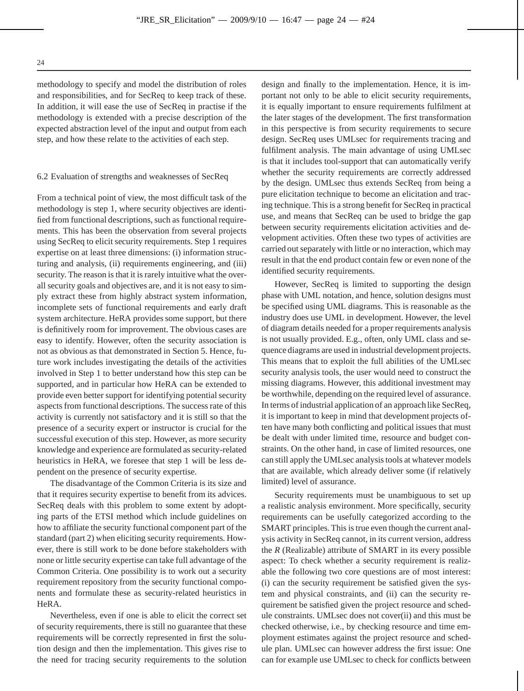methodology to specify and model the distribution of roles and responsibilities, and for SecReq to keep track of these. In addition, it will ease the use of SecReq in practise if the methodology is extended with a precise description of the expected abstraction level of the input and output from each step, and how these relate to the activities of each step.

#### 6.2 Evaluation of strengths and weaknesses of SecReq

From a technical point of view, the most difficult task of the methodology is step 1, where security objectives are identified from functional descriptions, such as functional requirements. This has been the observation from several projects using SecReq to elicit security requirements. Step 1 requires expertise on at least three dimensions: (i) information structuring and analysis, (ii) requirements engineering, and (iii) security. The reason is that it is rarely intuitive what the overall security goals and objectives are, and it is not easy to simply extract these from highly abstract system information, incomplete sets of functional requirements and early draft system architecture. HeRA provides some support, but there is definitively room for improvement. The obvious cases are easy to identify. However, often the security association is not as obvious as that demonstrated in Section 5. Hence, future work includes investigating the details of the activities involved in Step 1 to better understand how this step can be supported, and in particular how HeRA can be extended to provide even better support for identifying potential security aspects from functional descriptions. The success rate of this activity is currently not satisfactory and it is still so that the presence of a security expert or instructor is crucial for the successful execution of this step. However, as more security knowledge and experience are formulated as security-related heuristics in HeRA, we foresee that step 1 will be less dependent on the presence of security expertise.

The disadvantage of the Common Criteria is its size and that it requires security expertise to benefit from its advices. SecReq deals with this problem to some extent by adopting parts of the ETSI method which include guidelines on how to affiliate the security functional component part of the standard (part 2) when eliciting security requirements. However, there is still work to be done before stakeholders with none or little security expertise can take full advantage of the Common Criteria. One possibility is to work out a security requirement repository from the security functional components and formulate these as security-related heuristics in HeRA.

Nevertheless, even if one is able to elicit the correct set of security requirements, there is still no guarantee that these requirements will be correctly represented in first the solution design and then the implementation. This gives rise to the need for tracing security requirements to the solution

design and finally to the implementation. Hence, it is important not only to be able to elicit security requirements, it is equally important to ensure requirements fulfilment at the later stages of the development. The first transformation in this perspective is from security requirements to secure design. SecReq uses UMLsec for requirements tracing and fulfilment analysis. The main advantage of using UMLsec is that it includes tool-support that can automatically verify whether the security requirements are correctly addressed by the design. UMLsec thus extends SecReq from being a pure elicitation technique to become an elicitation and tracing technique. This is a strong benefit for SecReq in practical use, and means that SecReq can be used to bridge the gap between security requirements elicitation activities and development activities. Often these two types of activities are carried out separately with little or no interaction, which may result in that the end product contain few or even none of the identified security requirements.

However, SecReq is limited to supporting the design phase with UML notation, and hence, solution designs must be specified using UML diagrams. This is reasonable as the industry does use UML in development. However, the level of diagram details needed for a proper requirements analysis is not usually provided. E.g., often, only UML class and sequence diagrams are used in industrial development projects. This means that to exploit the full abilities of the UMLsec security analysis tools, the user would need to construct the missing diagrams. However, this additional investment may be worthwhile, depending on the required level of assurance. In terms of industrial application of an approach like SecReq, it is important to keep in mind that development projects often have many both conflicting and political issues that must be dealt with under limited time, resource and budget constraints. On the other hand, in case of limited resources, one can still apply the UMLsec analysis tools at whatever models that are available, which already deliver some (if relatively limited) level of assurance.

Security requirements must be unambiguous to set up a realistic analysis environment. More specifically, security requirements can be usefully categorized according to the SMART principles. This is true even though the current analysis activity in SecReq cannot, in its current version, address the *R* (Realizable) attribute of SMART in its every possible aspect: To check whether a security requirement is realizable the following two core questions are of most interest: (i) can the security requirement be satisfied given the system and physical constraints, and (ii) can the security requirement be satisfied given the project resource and schedule constraints. UMLsec does not cover(ii) and this must be checked otherwise, i.e., by checking resource and time employment estimates against the project resource and schedule plan. UMLsec can however address the first issue: One can for example use UMLsec to check for conflicts between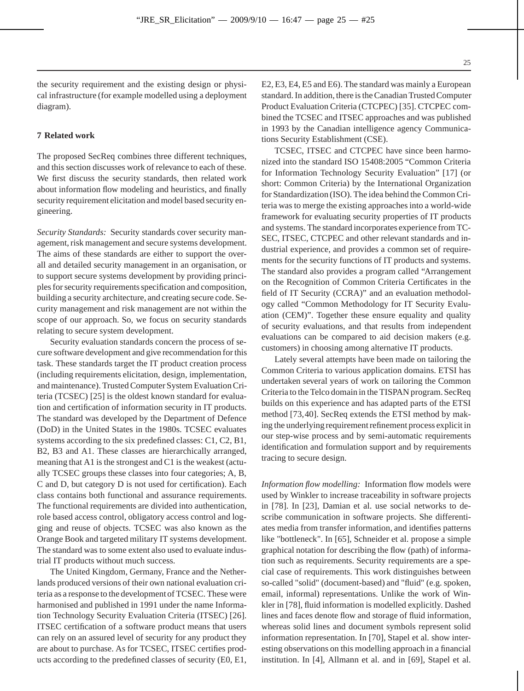the security requirement and the existing design or physical infrastructure (for example modelled using a deployment diagram).

### **7 Related work**

The proposed SecReq combines three different techniques, and this section discusses work of relevance to each of these. We first discuss the security standards, then related work about information flow modeling and heuristics, and finally security requirement elicitation and model based security engineering.

*Security Standards:* Security standards cover security management, risk management and secure systems development. The aims of these standards are either to support the overall and detailed security management in an organisation, or to support secure systems development by providing principles for security requirements specification and composition, building a security architecture, and creating secure code. Security management and risk management are not within the scope of our approach. So, we focus on security standards relating to secure system development.

Security evaluation standards concern the process of secure software development and give recommendation for this task. These standards target the IT product creation process (including requirements elicitation, design, implementation, and maintenance). Trusted Computer System Evaluation Criteria (TCSEC) [25] is the oldest known standard for evaluation and certification of information security in IT products. The standard was developed by the Department of Defence (DoD) in the United States in the 1980s. TCSEC evaluates systems according to the six predefined classes: C1, C2, B1, B2, B3 and A1. These classes are hierarchically arranged, meaning that A1 is the strongest and C1 is the weakest (actually TCSEC groups these classes into four categories; A, B, C and D, but category D is not used for certification). Each class contains both functional and assurance requirements. The functional requirements are divided into authentication, role based access control, obligatory access control and logging and reuse of objects. TCSEC was also known as the Orange Book and targeted military IT systems development. The standard was to some extent also used to evaluate industrial IT products without much success.

The United Kingdom, Germany, France and the Netherlands produced versions of their own national evaluation criteria as a response to the development of TCSEC. These were harmonised and published in 1991 under the name Information Technology Security Evaluation Criteria (ITSEC) [26]. ITSEC certification of a software product means that users can rely on an assured level of security for any product they are about to purchase. As for TCSEC, ITSEC certifies products according to the predefined classes of security (E0, E1, E2, E3, E4, E5 and E6). The standard was mainly a European standard. In addition, there is the Canadian Trusted Computer Product Evaluation Criteria (CTCPEC) [35]. CTCPEC combined the TCSEC and ITSEC approaches and was published in 1993 by the Canadian intelligence agency Communications Security Establishment (CSE).

TCSEC, ITSEC and CTCPEC have since been harmonized into the standard ISO 15408:2005 "Common Criteria for Information Technology Security Evaluation" [17] (or short: Common Criteria) by the International Organization for Standardization (ISO). The idea behind the Common Criteria was to merge the existing approaches into a world-wide framework for evaluating security properties of IT products and systems. The standard incorporates experience from TC-SEC, ITSEC, CTCPEC and other relevant standards and industrial experience, and provides a common set of requirements for the security functions of IT products and systems. The standard also provides a program called "Arrangement on the Recognition of Common Criteria Certificates in the field of IT Security (CCRA)" and an evaluation methodology called "Common Methodology for IT Security Evaluation (CEM)". Together these ensure equality and quality of security evaluations, and that results from independent evaluations can be compared to aid decision makers (e.g. customers) in choosing among alternative IT products.

Lately several attempts have been made on tailoring the Common Criteria to various application domains. ETSI has undertaken several years of work on tailoring the Common Criteria to the Telco domain in the TISPAN program. SecReq builds on this experience and has adapted parts of the ETSI method [73,40]. SecReq extends the ETSI method by making the underlying requirement refinement process explicit in our step-wise process and by semi-automatic requirements identification and formulation support and by requirements tracing to secure design.

*Information flow modelling:* Information flow models were used by Winkler to increase traceability in software projects in [78]. In [23], Damian et al. use social networks to describe communication in software projects. She differentiates media from transfer information, and identifies patterns like "bottleneck". In [65], Schneider et al. propose a simple graphical notation for describing the flow (path) of information such as requirements. Security requirements are a special case of requirements. This work distinguishes between so-called "solid" (document-based) and "fluid" (e.g. spoken, email, informal) representations. Unlike the work of Winkler in [78], fluid information is modelled explicitly. Dashed lines and faces denote flow and storage of fluid information, whereas solid lines and document symbols represent solid information representation. In [70], Stapel et al. show interesting observations on this modelling approach in a financial institution. In [4], Allmann et al. and in [69], Stapel et al.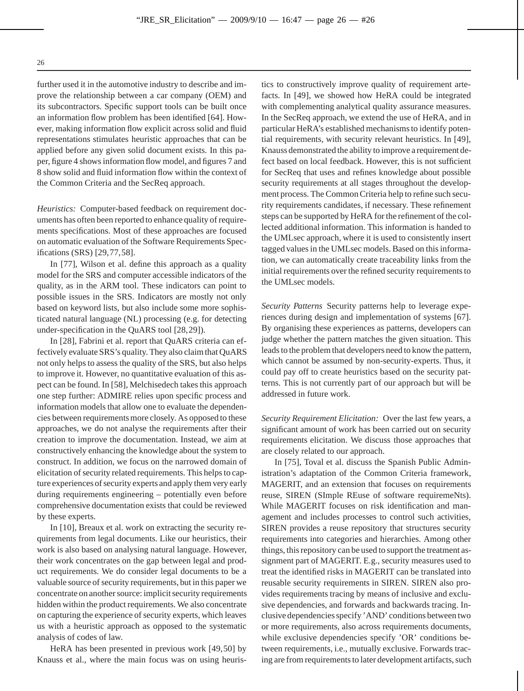further used it in the automotive industry to describe and improve the relationship between a car company (OEM) and its subcontractors. Specific support tools can be built once an information flow problem has been identified [64]. However, making information flow explicit across solid and fluid representations stimulates heuristic approaches that can be applied before any given solid document exists. In this paper, figure 4 shows information flow model, and figures 7 and 8 show solid and fluid information flow within the context of the Common Criteria and the SecReq approach.

*Heuristics:* Computer-based feedback on requirement documents has often been reported to enhance quality of requirements specifications. Most of these approaches are focused on automatic evaluation of the Software Requirements Specifications (SRS) [29,77,58].

In [77], Wilson et al. define this approach as a quality model for the SRS and computer accessible indicators of the quality, as in the ARM tool. These indicators can point to possible issues in the SRS. Indicators are mostly not only based on keyword lists, but also include some more sophisticated natural language (NL) processing (e.g. for detecting under-specification in the QuARS tool [28,29]).

In [28], Fabrini et al. report that QuARS criteria can effectively evaluate SRS's quality. They also claim that QuARS not only helps to assess the quality of the SRS, but also helps to improve it. However, no quantitative evaluation of this aspect can be found. In [58], Melchisedech takes this approach one step further: ADMIRE relies upon specific process and information models that allow one to evaluate the dependencies between requirements more closely. As opposed to these approaches, we do not analyse the requirements after their creation to improve the documentation. Instead, we aim at constructively enhancing the knowledge about the system to construct. In addition, we focus on the narrowed domain of elicitation of security related requirements. This helps to capture experiences of security experts and apply them very early during requirements engineering – potentially even before comprehensive documentation exists that could be reviewed by these experts.

In [10], Breaux et al. work on extracting the security requirements from legal documents. Like our heuristics, their work is also based on analysing natural language. However, their work concentrates on the gap between legal and product requirements. We do consider legal documents to be a valuable source of security requirements, but in this paper we concentrate on another source: implicit security requirements hidden within the product requirements. We also concentrate on capturing the experience of security experts, which leaves us with a heuristic approach as opposed to the systematic analysis of codes of law.

HeRA has been presented in previous work [49,50] by Knauss et al., where the main focus was on using heuris-

tics to constructively improve quality of requirement artefacts. In [49], we showed how HeRA could be integrated with complementing analytical quality assurance measures. In the SecReq approach, we extend the use of HeRA, and in particular HeRA's established mechanisms to identify potential requirements, with security relevant heuristics. In [49], Knauss demonstrated the ability to improve a requirement defect based on local feedback. However, this is not sufficient for SecReq that uses and refines knowledge about possible security requirements at all stages throughout the development process. The Common Criteria help to refine such security requirements candidates, if necessary. These refinement steps can be supported by HeRA for the refinement of the collected additional information. This information is handed to the UMLsec approach, where it is used to consistently insert tagged values in the UMLsec models. Based on this information, we can automatically create traceability links from the initial requirements over the refined security requirements to the UMLsec models.

*Security Patterns* Security patterns help to leverage experiences during design and implementation of systems [67]. By organising these experiences as patterns, developers can judge whether the pattern matches the given situation. This leads to the problem that developers need to know the pattern, which cannot be assumed by non-security-experts. Thus, it could pay off to create heuristics based on the security patterns. This is not currently part of our approach but will be addressed in future work.

*Security Requirement Elicitation:* Over the last few years, a significant amount of work has been carried out on security requirements elicitation. We discuss those approaches that are closely related to our approach.

In [75], Toval et al. discuss the Spanish Public Administration's adaptation of the Common Criteria framework, MAGERIT, and an extension that focuses on requirements reuse, SIREN (SImple REuse of software requiremeNts). While MAGERIT focuses on risk identification and management and includes processes to control such activities, SIREN provides a reuse repository that structures security requirements into categories and hierarchies. Among other things, this repository can be used to support the treatment assignment part of MAGERIT. E.g., security measures used to treat the identified risks in MAGERIT can be translated into reusable security requirements in SIREN. SIREN also provides requirements tracing by means of inclusive and exclusive dependencies, and forwards and backwards tracing. Inclusive dependencies specify 'AND' conditions between two or more requirements, also across requirements documents, while exclusive dependencies specify 'OR' conditions between requirements, i.e., mutually exclusive. Forwards tracing are from requirements to later development artifacts, such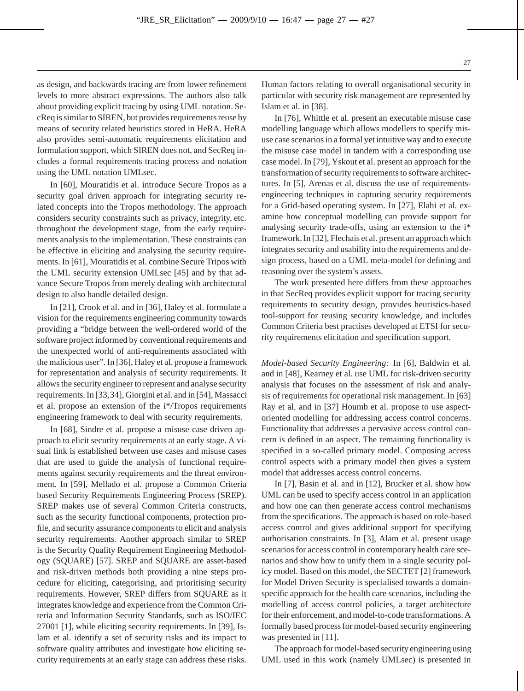as design, and backwards tracing are from lower refinement levels to more abstract expressions. The authors also talk about providing explicit tracing by using UML notation. SecReq is similar to SIREN, but provides requirements reuse by means of security related heuristics stored in HeRA. HeRA also provides semi-automatic requirements elicitation and formulation support, which SIREN does not, and SecReq includes a formal requirements tracing process and notation using the UML notation UMLsec.

In [60], Mouratidis et al. introduce Secure Tropos as a security goal driven approach for integrating security related concepts into the Tropos methodology. The approach considers security constraints such as privacy, integrity, etc. throughout the development stage, from the early requirements analysis to the implementation. These constraints can be effective in eliciting and analysing the security requirements. In [61], Mouratidis et al. combine Secure Tripos with the UML security extension UMLsec [45] and by that advance Secure Tropos from merely dealing with architectural design to also handle detailed design.

In [21], Crook et al. and in [36], Haley et al. formulate a vision for the requirements engineering community towards providing a "bridge between the well-ordered world of the software project informed by conventional requirements and the unexpected world of anti-requirements associated with the malicious user". In [36], Haley et al. propose a framework for representation and analysis of security requirements. It allows the security engineer to represent and analyse security requirements. In [33,34], Giorgini et al. and in [54], Massacci et al. propose an extension of the i\*/Tropos requirements engineering framework to deal with security requirements.

In [68], Sindre et al. propose a misuse case driven approach to elicit security requirements at an early stage. A visual link is established between use cases and misuse cases that are used to guide the analysis of functional requirements against security requirements and the threat environment. In [59], Mellado et al. propose a Common Criteria based Security Requirements Engineering Process (SREP). SREP makes use of several Common Criteria constructs, such as the security functional components, protection profile, and security assurance components to elicit and analysis security requirements. Another approach similar to SREP is the Security Quality Requirement Engineering Methodology (SQUARE) [57]. SREP and SQUARE are asset-based and risk-driven methods both providing a nine steps procedure for eliciting, categorising, and prioritising security requirements. However, SREP differs from SQUARE as it integrates knowledge and experience from the Common Criteria and Information Security Standards, such as ISO/IEC 27001 [1], while eliciting security requirements. In [39], Islam et al. identify a set of security risks and its impact to software quality attributes and investigate how eliciting security requirements at an early stage can address these risks.

Human factors relating to overall organisational security in particular with security risk management are represented by Islam et al. in [38].

In [76], Whittle et al. present an executable misuse case modelling language which allows modellers to specify misuse case scenarios in a formal yet intuitive way and to execute the misuse case model in tandem with a corresponding use case model. In [79], Yskout et al. present an approach for the transformation of security requirements to software architectures. In [5], Arenas et al. discuss the use of requirementsengineering techniques in capturing security requirements for a Grid-based operating system. In [27], Elahi et al. examine how conceptual modelling can provide support for analysing security trade-offs, using an extension to the i\* framework. In [32], Flechais et al. present an approach which integrates security and usability into the requirements and design process, based on a UML meta-model for defining and reasoning over the system's assets.

The work presented here differs from these approaches in that SecReq provides explicit support for tracing security requirements to security design, provides heuristics-based tool-support for reusing security knowledge, and includes Common Criteria best practises developed at ETSI for security requirements elicitation and specification support.

*Model-based Security Engineering:* In [6], Baldwin et al. and in [48], Kearney et al. use UML for risk-driven security analysis that focuses on the assessment of risk and analysis of requirements for operational risk management. In [63] Ray et al. and in [37] Houmb et al. propose to use aspectoriented modelling for addressing access control concerns. Functionality that addresses a pervasive access control concern is defined in an aspect. The remaining functionality is specified in a so-called primary model. Composing access control aspects with a primary model then gives a system model that addresses access control concerns.

In [7], Basin et al. and in [12], Brucker et al. show how UML can be used to specify access control in an application and how one can then generate access control mechanisms from the specifications. The approach is based on role-based access control and gives additional support for specifying authorisation constraints. In [3], Alam et al. present usage scenarios for access control in contemporary health care scenarios and show how to unify them in a single security policy model. Based on this model, the SECTET [2] framework for Model Driven Security is specialised towards a domainspecific approach for the health care scenarios, including the modelling of access control policies, a target architecture for their enforcement, and model-to-code transformations. A formally based process for model-based security engineering was presented in [11].

The approach for model-based security engineering using UML used in this work (namely UMLsec) is presented in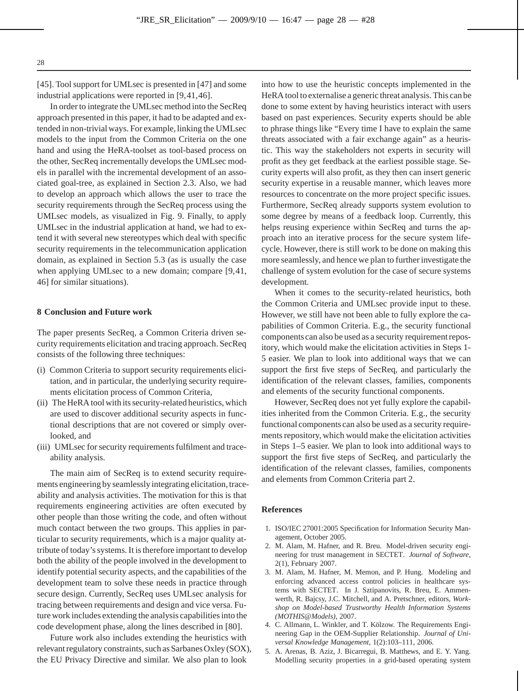[45]. Tool support for UMLsec is presented in [47] and some industrial applications were reported in [9,41,46].

In order to integrate the UMLsec method into the SecReq approach presented in this paper, it had to be adapted and extended in non-trivial ways. For example, linking the UMLsec models to the input from the Common Criteria on the one hand and using the HeRA-toolset as tool-based process on the other, SecReq incrementally develops the UMLsec models in parallel with the incremental development of an associated goal-tree, as explained in Section 2.3. Also, we had to develop an approach which allows the user to trace the security requirements through the SecReq process using the UMLsec models, as visualized in Fig. 9. Finally, to apply UMLsec in the industrial application at hand, we had to extend it with several new stereotypes which deal with specific security requirements in the telecommunication application domain, as explained in Section 5.3 (as is usually the case when applying UMLsec to a new domain; compare [9,41, 46] for similar situations).

### **8 Conclusion and Future work**

The paper presents SecReq, a Common Criteria driven security requirements elicitation and tracing approach. SecReq consists of the following three techniques:

- (i) Common Criteria to support security requirements elicitation, and in particular, the underlying security requirements elicitation process of Common Criteria,
- (ii) The HeRA tool with its security-related heuristics, which are used to discover additional security aspects in functional descriptions that are not covered or simply overlooked, and
- (iii) UMLsec for security requirements fulfilment and traceability analysis.

The main aim of SecReq is to extend security requirements engineering by seamlessly integrating elicitation, traceability and analysis activities. The motivation for this is that requirements engineering activities are often executed by other people than those writing the code, and often without much contact between the two groups. This applies in particular to security requirements, which is a major quality attribute of today's systems. It is therefore important to develop both the ability of the people involved in the development to identify potential security aspects, and the capabilities of the development team to solve these needs in practice through secure design. Currently, SecReq uses UMLsec analysis for tracing between requirements and design and vice versa. Future work includes extending the analysis capabilities into the code development phase, along the lines described in [80].

Future work also includes extending the heuristics with relevant regulatory constraints, such as Sarbanes Oxley (SOX), the EU Privacy Directive and similar. We also plan to look

into how to use the heuristic concepts implemented in the HeRA tool to externalise a generic threat analysis. This can be done to some extent by having heuristics interact with users based on past experiences. Security experts should be able to phrase things like "Every time I have to explain the same threats associated with a fair exchange again" as a heuristic. This way the stakeholders not experts in security will profit as they get feedback at the earliest possible stage. Security experts will also profit, as they then can insert generic security expertise in a reusable manner, which leaves more resources to concentrate on the more project specific issues. Furthermore, SecReq already supports system evolution to some degree by means of a feedback loop. Currently, this helps reusing experience within SecReq and turns the approach into an iterative process for the secure system lifecycle. However, there is still work to be done on making this more seamlessly, and hence we plan to further investigate the challenge of system evolution for the case of secure systems development.

When it comes to the security-related heuristics, both the Common Criteria and UMLsec provide input to these. However, we still have not been able to fully explore the capabilities of Common Criteria. E.g., the security functional components can also be used as a security requirement repository, which would make the elicitation activities in Steps 1- 5 easier. We plan to look into additional ways that we can support the first five steps of SecReq, and particularly the identification of the relevant classes, families, components and elements of the security functional components.

However, SecReq does not yet fully explore the capabilities inherited from the Common Criteria. E.g., the security functional components can also be used as a security requirements repository, which would make the elicitation activities in Steps 1–5 easier. We plan to look into additional ways to support the first five steps of SecReq, and particularly the identification of the relevant classes, families, components and elements from Common Criteria part 2.

# **References**

- 1. ISO/IEC 27001:2005 Specification for Information Security Management, October 2005.
- 2. M. Alam, M. Hafner, and R. Breu. Model-driven security engineering for trust management in SECTET. *Journal of Software*, 2(1), February 2007.
- 3. M. Alam, M. Hafner, M. Memon, and P. Hung. Modeling and enforcing advanced access control policies in healthcare systems with SECTET. In J. Sztipanovits, R. Breu, E. Ammenwerth, R. Bajcsy, J.C. Mitchell, and A. Pretschner, editors, *Workshop on Model-based Trustworthy Health Information Systems (MOTHIS@Models)*, 2007.
- 4. C. Allmann, L. Winkler, and T. Kölzow. The Requirements Engineering Gap in the OEM-Supplier Relationship. *Journal of Universal Knowledge Management*, 1(2):103–111, 2006.
- 5. A. Arenas, B. Aziz, J. Bicarregui, B. Matthews, and E. Y. Yang. Modelling security properties in a grid-based operating system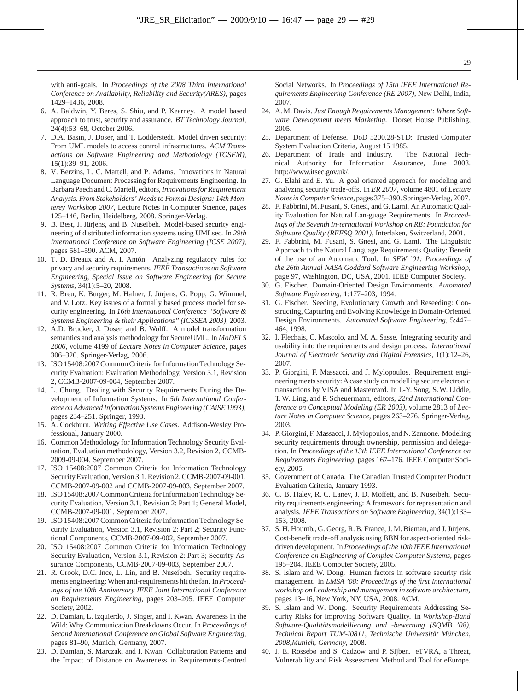with anti-goals. In *Proceedings of the 2008 Third International Conference on Availability, Reliability and Security(ARES)*, pages 1429–1436, 2008.

- 6. A. Baldwin, Y. Beres, S. Shiu, and P. Kearney. A model based approach to trust, security and assurance. *BT Technology Journal*, 24(4):53–68, October 2006.
- 7. D.A. Basin, J. Doser, and T. Lodderstedt. Model driven security: From UML models to access control infrastructures. *ACM Transactions on Software Engineering and Methodology (TOSEM)*, 15(1):39–91, 2006.
- 8. V. Berzins, L. C. Martell, and P. Adams. Innovations in Natural Language Document Processing for Requirements Engineering. In Barbara Paech and C. Martell, editors,*Innovations for Requirement Analysis. From Stakeholders' Needs to Formal Designs: 14th Monterey Workshop 2007*, Lecture Notes In Computer Science, pages 125–146, Berlin, Heidelberg, 2008. Springer-Verlag.
- 9. B. Best, J. Jürjens, and B. Nuseibeh. Model-based security engineering of distributed information systems using UMLsec. In *29th International Conference on Software Engineering (ICSE 2007)*, pages 581–590. ACM, 2007.
- 10. T. D. Breaux and A. I. Antón. Analyzing regulatory rules for privacy and security requirements. *IEEE Transactions on Software Engineering, Special Issue on Software Engineering for Secure Systems*, 34(1):5–20, 2008.
- 11. R. Breu, K. Burger, M. Hafner, J. Jürjens, G. Popp, G. Wimmel, and V. Lotz. Key issues of a formally based process model for security engineering. In *16th International Conference "Software & Systems Engineering & their Applications" (ICSSEA 2003)*, 2003.
- 12. A.D. Brucker, J. Doser, and B. Wolff. A model transformation semantics and analysis methodology for SecureUML. In *MoDELS 2006*, volume 4199 of *Lecture Notes in Computer Science*, pages 306–320. Springer-Verlag, 2006.
- 13. ISO 15408:2007 Common Criteria for Information Technology Security Evaluation: Evaluation Methodology, Version 3.1, Revision 2, CCMB-2007-09-004, September 2007.
- 14. L. Chung. Dealing with Security Requirements During the Development of Information Systems. In *5th International Conference on Advanced Information Systems Engineering (CAiSE 1993)*, pages 234–251. Springer, 1993.
- 15. A. Cockburn. *Writing Effective Use Cases*. Addison-Wesley Professional, January 2000.
- 16. Common Methodology for Information Technology Security Evaluation, Evaluation methodology, Version 3.2, Revision 2, CCMB-2009-09-004, September 2007.
- 17. ISO 15408:2007 Common Criteria for Information Technology Security Evaluation, Version 3.1, Revision 2, CCMB-2007-09-001, CCMB-2007-09-002 and CCMB-2007-09-003, September 2007.
- 18. ISO 15408:2007 Common Criteria for Information Technology Security Evaluation, Version 3.1, Revision 2: Part 1; General Model, CCMB-2007-09-001, September 2007.
- 19. ISO 15408:2007 Common Criteria for Information Technology Security Evaluation, Version 3.1, Revision 2: Part 2; Security Functional Components, CCMB-2007-09-002, September 2007.
- 20. ISO 15408:2007 Common Criteria for Information Technology Security Evaluation, Version 3.1, Revision 2: Part 3; Security Assurance Components, CCMB-2007-09-003, September 2007.
- 21. R. Crook, D.C. Ince, L. Lin, and B. Nuseibeh. Security requirements engineering: When anti-requirements hit the fan. In*Proceedings of the 10th Anniversary IEEE Joint International Conference on Requirements Engineering*, pages 203–205. IEEE Computer Society, 2002.
- 22. D. Damian, L. Izquierdo, J. Singer, and I. Kwan. Awareness in the Wild: Why Communication Breakdowns Occur. In *Proceedings of Second International Conference on Global Software Engineering*, pages 81–90, Munich, Germany, 2007.
- 23. D. Damian, S. Marczak, and I. Kwan. Collaboration Patterns and the Impact of Distance on Awareness in Requirements-Centred

Social Networks. In *Proceedings of 15th IEEE International Requirements Engineering Conference (RE 2007)*, New Delhi, India, 2007.

- 24. A. M. Davis. *Just Enough Requirements Management: Where Software Development meets Marketing*. Dorset House Publishing, 2005.
- 25. Department of Defense. DoD 5200.28-STD: Trusted Computer System Evaluation Criteria, August 15 1985.<br>Department of Trade and Industry. The National Tech-
- 26. Department of Trade and Industry. nical Authority for Information Assurance, June 2003. http://www.itsec.gov.uk/.
- 27. G. Elahi and E. Yu. A goal oriented approach for modeling and analyzing security trade-offs. In *ER 2007*, volume 4801 of *Lecture Notes in Computer Science*, pages 375–390. Springer-Verlag, 2007.
- 28. F. Fabbrini, M. Fusani, S. Gnesi, and G. Lami. An Automatic Quality Evaluation for Natural Lan-guage Requirements. In *Proceedings of the Seventh In-ternational Workshop on RE: Foundation for Software Quality (REFSQ 2001)*, Interlaken, Switzerland, 2001.
- 29. F. Fabbrini, M. Fusani, S. Gnesi, and G. Lami. The Linguistic Approach to the Natural Language Requirements Quality: Benefit of the use of an Automatic Tool. In *SEW '01: Proceedings of the 26th Annual NASA Goddard Software Engineering Workshop*, page 97, Washington, DC, USA, 2001. IEEE Computer Society.
- 30. G. Fischer. Domain-Oriented Design Environments. *Automated Software Engineering*, 1:177–203, 1994.
- 31. G. Fischer. Seeding, Evolutionary Growth and Reseeding: Constructing, Capturing and Evolving Knowledge in Domain-Oriented Design Environments. *Automated Software Engineering*, 5:447– 464, 1998.
- 32. I. Flechais, C. Mascolo, and M. A. Sasse. Integrating security and usability into the requirements and design process. *International Journal of Electronic Security and Digital Forensics*, 1(1):12–26, 2007.
- 33. P. Giorgini, F. Massacci, and J. Mylopoulos. Requirement engineering meets security: A case study on modelling secure electronic transactions by VISA and Mastercard. In I.-Y. Song, S. W. Liddle, T. W. Ling, and P. Scheuermann, editors, *22nd International Conference on Conceptual Modeling (ER 2003)*, volume 2813 of *Lecture Notes in Computer Science*, pages 263–276. Springer-Verlag, 2003.
- 34. P. Giorgini, F. Massacci, J. Mylopoulos, and N. Zannone. Modeling security requirements through ownership, permission and delegation. In *Proceedings of the 13th IEEE International Conference on Requirements Engineering*, pages 167–176. IEEE Computer Society, 2005.
- 35. Government of Canada. The Canadian Trusted Computer Product Evaluation Criteria, January 1993.
- 36. C. B. Haley, R. C. Laney, J. D. Moffett, and B. Nuseibeh. Security requirements engineering: A framework for representation and analysis. *IEEE Transactions on Software Engineering*, 34(1):133– 153, 2008.
- 37. S. H. Houmb., G. Georg, R. B. France, J. M. Bieman, and J. Jürjens. Cost-benefit trade-off analysis using BBN for aspect-oriented riskdriven development. In *Proceedings of the 10th IEEE International Conference on Engineering of Complex Computer Systems*, pages 195–204. IEEE Computer Society, 2005.
- 38. S. Islam and W. Dong. Human factors in software security risk management. In *LMSA '08: Proceedings of the first international workshop on Leadership and management in software architecture*, pages 13–16, New York, NY, USA, 2008. ACM.
- 39. S. Islam and W. Dong. Security Requirements Addressing Security Risks for Improving Software Quality. In *Workshop-Band Software-Qualitätsmodellierung und -bewertung (SQMB '08), Technical Report TUM-I0811, Technische Universität München, 2008,Munich, Germany*, 2008.
- 40. J. E. Rossebø and S. Cadzow and P. Sijben. eTVRA, a Threat, Vulnerability and Risk Assessment Method and Tool for eEurope.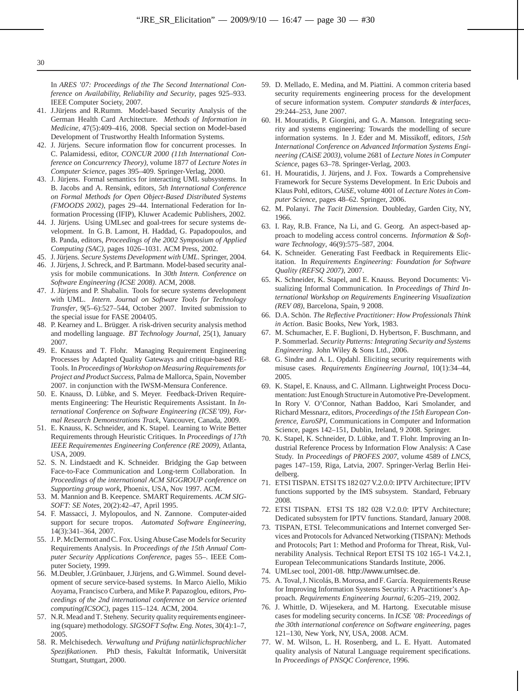In *ARES '07: Proceedings of the The Second International Conference on Availability, Reliability and Security*, pages 925–933. IEEE Computer Society, 2007.

- 41. J.Jürjens and R.Rumm. Model-based Security Analysis of the German Health Card Architecture. *Methods of Information in Medicine*, 47(5):409–416, 2008. Special section on Model-based Development of Trustworthy Health Information Systems.
- 42. J. Jürjens. Secure information flow for concurrent processes. In C. Palamidessi, editor, *CONCUR 2000 (11th International Conference on Concurrency Theory)*, volume 1877 of *Lecture Notes in Computer Science*, pages 395–409. Springer-Verlag, 2000.
- 43. J. Jürjens. Formal semantics for interacting UML subsystems. In B. Jacobs and A. Rensink, editors, *5th International Conference on Formal Methods for Open Object-Based Distributed Systems (FMOODS 2002)*, pages 29–44. International Federation for Information Processing (IFIP), Kluwer Academic Publishers, 2002.
- 44. J. Jürjens. Using UMLsec and goal-trees for secure systems development. In G. B. Lamont, H. Haddad, G. Papadopoulos, and B. Panda, editors, *Proceedings of the 2002 Symposium of Applied Computing (SAC)*, pages 1026–1031. ACM Press, 2002.
- 45. J. Jürjens. *Secure Systems Development with UML*. Springer, 2004.
- 46. J. Jürjens, J. Schreck, and P. Bartmann. Model-based security analysis for mobile communications. In *30th Intern. Conference on Software Engineering (ICSE 2008)*. ACM, 2008.
- 47. J. Jürjens and P. Shabalin. Tools for secure systems development with UML. *Intern. Journal on Software Tools for Technology Transfer*, 9(5–6):527–544, October 2007. Invited submission to the special issue for FASE 2004/05.
- 48. P. Kearney and L. Brügger. A risk-driven security analysis method and modelling language. *BT Technology Journal*, 25(1), January 2007.
- 49. E. Knauss and T. Flohr. Managing Requirement Engineering Processes by Adapted Quality Gateways and critique-based RE-Tools. In*Proceedings of Workshop on Measuring Requirements for Project and Product Success*, Palma de Mallorca, Spain, November 2007. in conjunction with the IWSM-Mensura Conference.
- 50. E. Knauss, D. Lübke, and S. Meyer. Feedback-Driven Requirements Engineering: The Heuristic Requirements Assistant. In *International Conference on Software Engineering (ICSE'09), Formal Research Demonstrations Track*, Vancouver, Canada, 2009.
- 51. E. Knauss, K. Schneider, and K. Stapel. Learning to Write Better Requirements through Heuristic Critiques. In *Proceedings of 17th IEEE Requirementes Engineering Conference (RE 2009)*, Atlanta, USA, 2009.
- 52. S. N. Lindstaedt and K. Schneider. Bridging the Gap between Face-to-Face Communication and Long-term Collaboration. In *Proceedings of the international ACM SIGGROUP conference on Supporting group work*, Phoenix, USA, Nov 1997. ACM.
- 53. M. Mannion and B. Keepence. SMART Requirements. *ACM SIG-SOFT: SE Notes*, 20(2):42–47, April 1995.
- 54. F. Massacci, J. Mylopoulos, and N. Zannone. Computer-aided support for secure tropos. *Automated Software Engineering*, 14(3):341–364, 2007.
- 55. J. P. McDermott and C. Fox. Using Abuse Case Models for Security Requirements Analysis. In *Proceedings of the 15th Annual Computer Security Applications Conference*, pages 55–. IEEE Computer Society, 1999.
- 56. M.Deubler, J.Grünbauer, J.Jürjens, and G.Wimmel. Sound development of secure service-based systems. In Marco Aiello, Mikio Aoyama, Francisco Curbera, and Mike P. Papazoglou, editors, *Proceedings of the 2nd international conference on Service oriented computing(ICSOC)*, pages 115–124. ACM, 2004.
- 57. N.R. Mead and T. Steheny. Security quality requirements engineering (square) methodology. *SIGSOFT Softw. Eng. Notes*, 30(4):1–7, 2005.
- 58. R. Melchisedech. *Verwaltung und Prüfung natürlichsprachlicher Spezifikationen*. PhD thesis, Fakultät Informatik, Universität Stuttgart, Stuttgart, 2000.
- 59. D. Mellado, E. Medina, and M. Piattini. A common criteria based security requirements engineering process for the development of secure information system. *Computer standards & interfaces*, 29:244–253, June 2007.
- 60. H. Mouratidis, P. Giorgini, and G. A. Manson. Integrating security and systems engineering: Towards the modelling of secure information systems. In J. Eder and M. Missikoff, editors, *15th International Conference on Advanced Information Systems Engineering (CAiSE 2003)*, volume 2681 of *Lecture Notes in Computer Science*, pages 63–78. Springer-Verlag, 2003.
- 61. H. Mouratidis, J. Jürjens, and J. Fox. Towards a Comprehensive Framework for Secure Systems Development. In Eric Dubois and Klaus Pohl, editors, *CAiSE*, volume 4001 of *Lecture Notes in Computer Science*, pages 48–62. Springer, 2006.
- 62. M. Polanyi. *The Tacit Dimension*. Doubleday, Garden City, NY, 1966.
- 63. I. Ray, R.B. France, Na Li, and G. Georg. An aspect-based approach to modeling access control concerns. *Information & Software Technology*, 46(9):575–587, 2004.
- 64. K. Schneider. Generating Fast Feedback in Requirements Elicitation. In *Requirements Engineering: Foundation for Software Quality (REFSQ 2007)*, 2007.
- 65. K. Schneider, K. Stapel, and E. Knauss. Beyond Documents: Visualizing Informal Communication. In *Proceedings of Third International Workshop on Requirements Engineering Visualization (REV 08)*, Barcelona, Spain, 9 2008.
- 66. D.A. Schön. *The Reflective Practitioner: How Professionals Think in Action*. Basic Books, New York, 1983.
- 67. M. Schumacher, E. F. Buglioni, D. Hybertson, F. Buschmann, and P. Sommerlad. *Security Patterns: Integrating Security and Systems Engineering*. John Wiley & Sons Ltd., 2006.
- 68. G. Sindre and A. L. Opdahl. Eliciting security requirements with misuse cases. *Requirements Engineering Journal*, 10(1):34–44, 2005.
- 69. K. Stapel, E. Knauss, and C. Allmann. Lightweight Process Documentation: Just Enough Structure in Automotive Pre-Development. In Rory V. O'Connor, Nathan Baddoo, Kari Smolander, and Richard Messnarz, editors, *Proceedings of the 15th European Conference, EuroSPI*, Communications in Computer and Information Science, pages 142–151, Dublin, Ireland, 9 2008. Springer.
- 70. K. Stapel, K. Schneider, D. Lübke, and T. Flohr. Improving an Industrial Reference Process by Information Flow Analysis: A Case Study. In *Proceedings of PROFES 2007*, volume 4589 of *LNCS*, pages 147–159, Riga, Latvia, 2007. Springer-Verlag Berlin Heidelberg.
- 71. ETSI TISPAN. ETSI TS 182 027 V.2.0.0: IPTV Architecture; IPTV functions supported by the IMS subsystem. Standard, February 2008.
- 72. ETSI TISPAN. ETSI TS 182 028 V.2.0.0: IPTV Architecture; Dedicated subsystem for IPTV functions. Standard, January 2008.
- 73. TISPAN, ETSI. Telecommunications and Internet converged Services and Protocols for Advanced Networking (TISPAN): Methods and Protocols; Part 1: Method and Proforma for Threat, Risk, Vulnerability Analysis. Technical Report ETSI TS 102 165-1 V4.2.1, European Telecommunications Standards Institute, 2006.
- 74. UMLsec tool, 2001-08. http://www.umlsec.de.
- 75. A. Toval, J. Nicolás, B. Morosa, and F. García. Requirements Reuse for Improving Information Systems Security: A Practitioner's Approach. *Requirements Engineering Journal*, 6:205–219, 2002.
- 76. J. Whittle, D. Wijesekera, and M. Hartong. Executable misuse cases for modeling security concerns. In *ICSE '08: Proceedings of the 30th international conference on Software engineering*, pages 121–130, New York, NY, USA, 2008. ACM.
- 77. W. M. Wilson, L. H. Rosenberg, and L. E. Hyatt. Automated quality analysis of Natural Language requirement specifications. In *Proceedings of PNSQC Conference*, 1996.

30